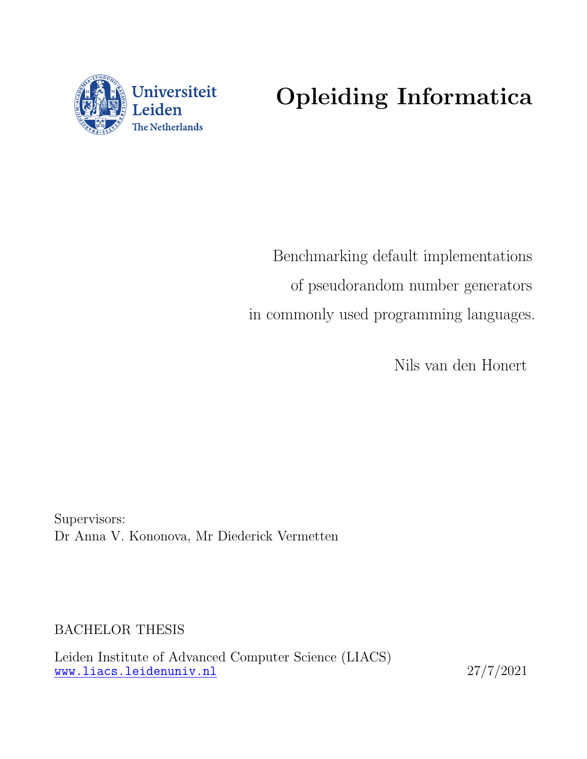<span id="page-0-0"></span>

# Opleiding Informatica

Benchmarking default implementations of pseudorandom number generators in commonly used programming languages.

Nils van den Honert

Supervisors: Dr Anna V. Kononova, Mr Diederick Vermetten

BACHELOR THESIS

Leiden Institute of Advanced Computer Science (LIACS) <www.liacs.leidenuniv.nl> 27/7/2021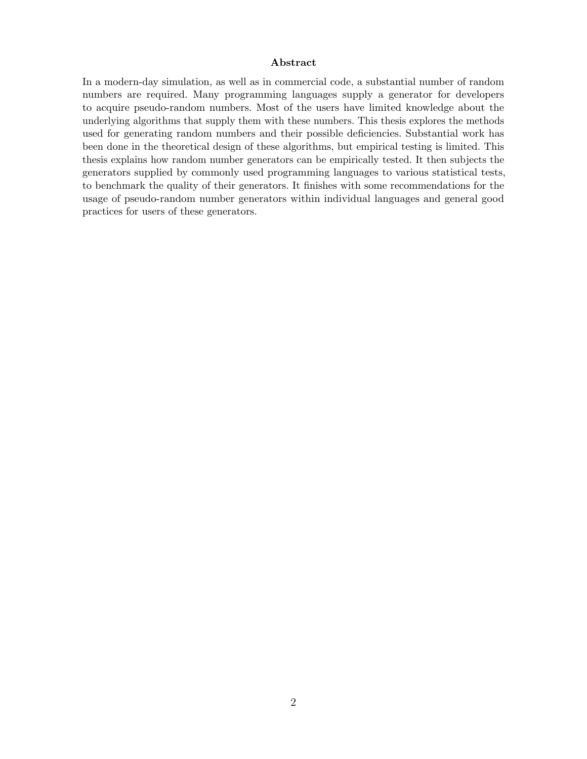#### Abstract

In a modern-day simulation, as well as in commercial code, a substantial number of random numbers are required. Many programming languages supply a generator for developers to acquire pseudo-random numbers. Most of the users have limited knowledge about the underlying algorithms that supply them with these numbers. This thesis explores the methods used for generating random numbers and their possible deficiencies. Substantial work has been done in the theoretical design of these algorithms, but empirical testing is limited. This thesis explains how random number generators can be empirically tested. It then subjects the generators supplied by commonly used programming languages to various statistical tests, to benchmark the quality of their generators. It finishes with some recommendations for the usage of pseudo-random number generators within individual languages and general good practices for users of these generators.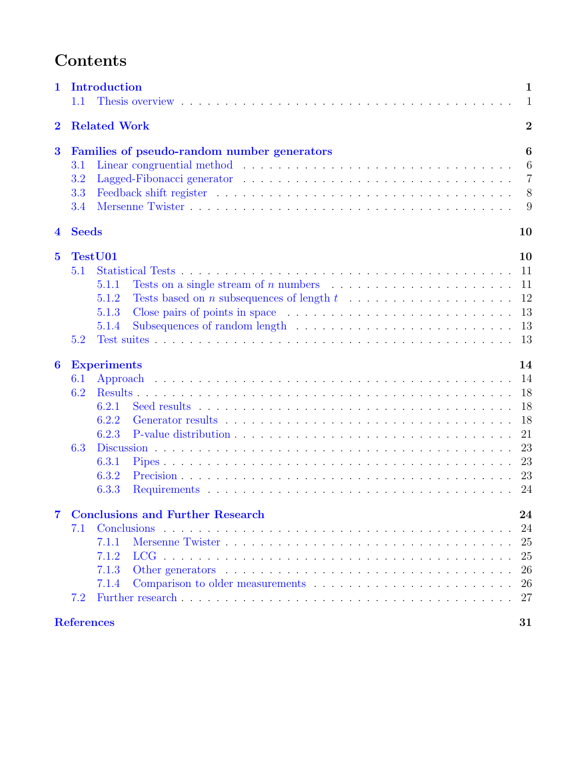# Contents

| Introduction<br>$\mathbf 1$<br>1.1                                                  |                                                                                                                                                      |                                                          |  |  |  |  |  |  |  |  |
|-------------------------------------------------------------------------------------|------------------------------------------------------------------------------------------------------------------------------------------------------|----------------------------------------------------------|--|--|--|--|--|--|--|--|
| $\bf{2}$                                                                            | <b>Related Work</b>                                                                                                                                  | $\overline{2}$                                           |  |  |  |  |  |  |  |  |
| $\bf{3}$<br>Families of pseudo-random number generators<br>3.1<br>3.2<br>3.3<br>3.4 |                                                                                                                                                      |                                                          |  |  |  |  |  |  |  |  |
| $\overline{\mathbf{4}}$                                                             | <b>Seeds</b>                                                                                                                                         | 10                                                       |  |  |  |  |  |  |  |  |
| $\overline{5}$                                                                      | TestU01<br>5.1<br>Tests on a single stream of n numbers $\dots \dots \dots \dots \dots \dots \dots \dots$<br>5.1.1<br>5.1.2<br>5.1.3<br>5.1.4<br>5.2 | 10<br>11<br>11<br>12<br>13<br>13<br>13                   |  |  |  |  |  |  |  |  |
| $\boldsymbol{6}$                                                                    | <b>Experiments</b><br>6.1<br>6.2<br>6.2.1<br>6.2.2<br>6.2.3<br>6.3<br>6.3.1<br>6.3.2<br>6.3.3                                                        | 14<br>14<br>18<br>18<br>18<br>21<br>23<br>23<br>23<br>24 |  |  |  |  |  |  |  |  |
| $\overline{7}$                                                                      | <b>Conclusions and Further Research</b><br>Conclusions<br>7.1<br>7.1.1<br>7.1.2<br>7.1.3<br>7.1.4<br>7.2                                             | 24<br>24<br>25<br>25<br>26<br>26<br>27                   |  |  |  |  |  |  |  |  |
|                                                                                     | <b>References</b>                                                                                                                                    | 31                                                       |  |  |  |  |  |  |  |  |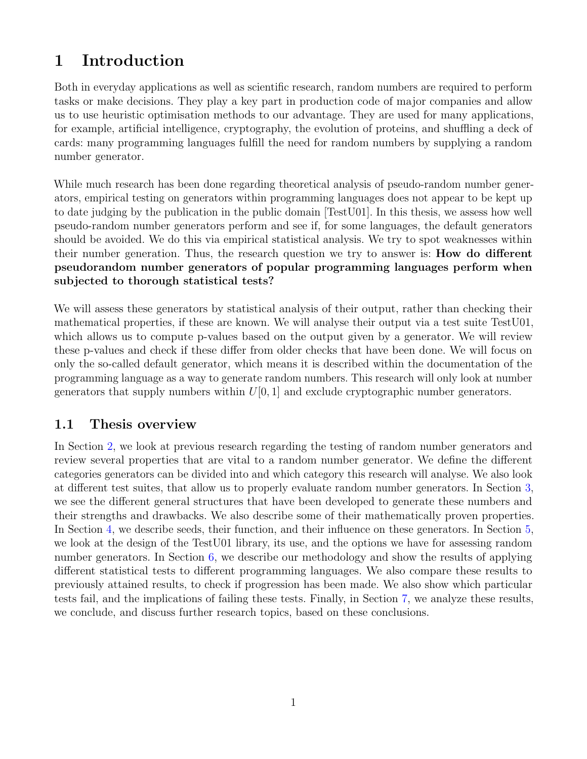# <span id="page-3-0"></span>1 Introduction

Both in everyday applications as well as scientific research, random numbers are required to perform tasks or make decisions. They play a key part in production code of major companies and allow us to use heuristic optimisation methods to our advantage. They are used for many applications, for example, artificial intelligence, cryptography, the evolution of proteins, and shuffling a deck of cards: many programming languages fulfill the need for random numbers by supplying a random number generator.

While much research has been done regarding theoretical analysis of pseudo-random number generators, empirical testing on generators within programming languages does not appear to be kept up to date judging by the publication in the public domain [TestU01]. In this thesis, we assess how well pseudo-random number generators perform and see if, for some languages, the default generators should be avoided. We do this via empirical statistical analysis. We try to spot weaknesses within their number generation. Thus, the research question we try to answer is: How do different pseudorandom number generators of popular programming languages perform when subjected to thorough statistical tests?

We will assess these generators by statistical analysis of their output, rather than checking their mathematical properties, if these are known. We will analyse their output via a test suite TestU01, which allows us to compute p-values based on the output given by a generator. We will review these p-values and check if these differ from older checks that have been done. We will focus on only the so-called default generator, which means it is described within the documentation of the programming language as a way to generate random numbers. This research will only look at number generators that supply numbers within  $U[0, 1]$  and exclude cryptographic number generators.

# <span id="page-3-1"></span>1.1 Thesis overview

In Section [2,](#page-4-0) we look at previous research regarding the testing of random number generators and review several properties that are vital to a random number generator. We define the different categories generators can be divided into and which category this research will analyse. We also look at different test suites, that allow us to properly evaluate random number generators. In Section [3,](#page-8-0) we see the different general structures that have been developed to generate these numbers and their strengths and drawbacks. We also describe some of their mathematically proven properties. In Section [4,](#page-12-0) we describe seeds, their function, and their influence on these generators. In Section [5,](#page-12-1) we look at the design of the TestU01 library, its use, and the options we have for assessing random number generators. In Section  $6$ , we describe our methodology and show the results of applying different statistical tests to different programming languages. We also compare these results to previously attained results, to check if progression has been made. We also show which particular tests fail, and the implications of failing these tests. Finally, in Section [7,](#page-26-1) we analyze these results, we conclude, and discuss further research topics, based on these conclusions.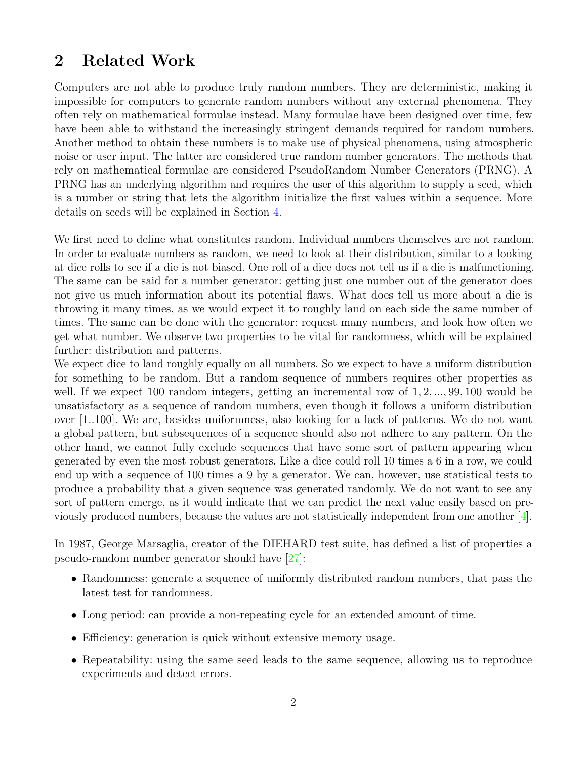# <span id="page-4-0"></span>2 Related Work

Computers are not able to produce truly random numbers. They are deterministic, making it impossible for computers to generate random numbers without any external phenomena. They often rely on mathematical formulae instead. Many formulae have been designed over time, few have been able to withstand the increasingly stringent demands required for random numbers. Another method to obtain these numbers is to make use of physical phenomena, using atmospheric noise or user input. The latter are considered true random number generators. The methods that rely on mathematical formulae are considered PseudoRandom Number Generators (PRNG). A PRNG has an underlying algorithm and requires the user of this algorithm to supply a seed, which is a number or string that lets the algorithm initialize the first values within a sequence. More details on seeds will be explained in Section [4.](#page-12-0)

We first need to define what constitutes random. Individual numbers themselves are not random. In order to evaluate numbers as random, we need to look at their distribution, similar to a looking at dice rolls to see if a die is not biased. One roll of a dice does not tell us if a die is malfunctioning. The same can be said for a number generator: getting just one number out of the generator does not give us much information about its potential flaws. What does tell us more about a die is throwing it many times, as we would expect it to roughly land on each side the same number of times. The same can be done with the generator: request many numbers, and look how often we get what number. We observe two properties to be vital for randomness, which will be explained further: distribution and patterns.

We expect dice to land roughly equally on all numbers. So we expect to have a uniform distribution for something to be random. But a random sequence of numbers requires other properties as well. If we expect 100 random integers, getting an incremental row of 1, 2, ..., 99, 100 would be unsatisfactory as a sequence of random numbers, even though it follows a uniform distribution over [1..100]. We are, besides uniformness, also looking for a lack of patterns. We do not want a global pattern, but subsequences of a sequence should also not adhere to any pattern. On the other hand, we cannot fully exclude sequences that have some sort of pattern appearing when generated by even the most robust generators. Like a dice could roll 10 times a 6 in a row, we could end up with a sequence of 100 times a 9 by a generator. We can, however, use statistical tests to produce a probability that a given sequence was generated randomly. We do not want to see any sort of pattern emerge, as it would indicate that we can predict the next value easily based on previously produced numbers, because the values are not statistically independent from one another [\[4\]](#page-30-1).

In 1987, George Marsaglia, creator of the DIEHARD test suite, has defined a list of properties a pseudo-random number generator should have [\[27\]](#page-31-0):

- Randomness: generate a sequence of uniformly distributed random numbers, that pass the latest test for randomness.
- Long period: can provide a non-repeating cycle for an extended amount of time.
- Efficiency: generation is quick without extensive memory usage.
- Repeatability: using the same seed leads to the same sequence, allowing us to reproduce experiments and detect errors.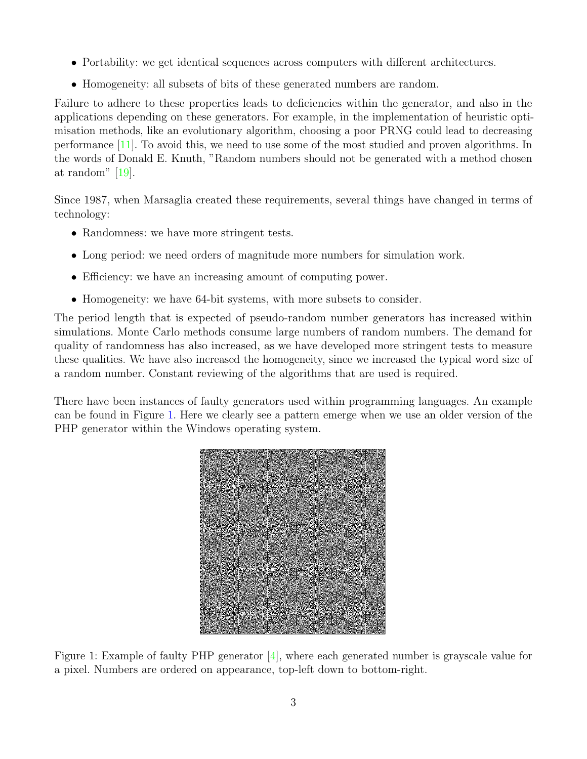- Portability: we get identical sequences across computers with different architectures.
- Homogeneity: all subsets of bits of these generated numbers are random.

Failure to adhere to these properties leads to deficiencies within the generator, and also in the applications depending on these generators. For example, in the implementation of heuristic optimisation methods, like an evolutionary algorithm, choosing a poor PRNG could lead to decreasing performance [\[11\]](#page-30-2). To avoid this, we need to use some of the most studied and proven algorithms. In the words of Donald E. Knuth, "Random numbers should not be generated with a method chosen at random" [\[19\]](#page-31-1).

Since 1987, when Marsaglia created these requirements, several things have changed in terms of technology:

- Randomness: we have more stringent tests.
- Long period: we need orders of magnitude more numbers for simulation work.
- Efficiency: we have an increasing amount of computing power.
- Homogeneity: we have 64-bit systems, with more subsets to consider.

The period length that is expected of pseudo-random number generators has increased within simulations. Monte Carlo methods consume large numbers of random numbers. The demand for quality of randomness has also increased, as we have developed more stringent tests to measure these qualities. We have also increased the homogeneity, since we increased the typical word size of a random number. Constant reviewing of the algorithms that are used is required.

<span id="page-5-0"></span>There have been instances of faulty generators used within programming languages. An example can be found in Figure [1.](#page-5-0) Here we clearly see a pattern emerge when we use an older version of the PHP generator within the Windows operating system.



Figure 1: Example of faulty PHP generator [\[4\]](#page-30-1), where each generated number is grayscale value for a pixel. Numbers are ordered on appearance, top-left down to bottom-right.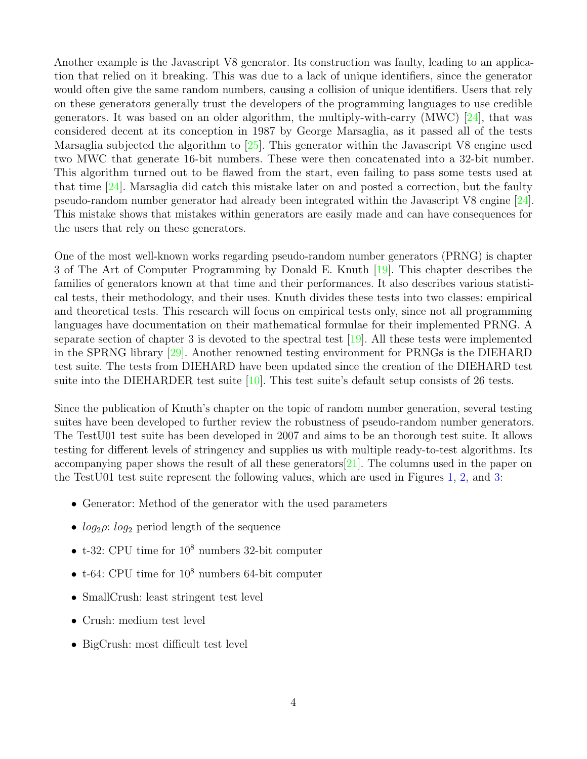Another example is the Javascript V8 generator. Its construction was faulty, leading to an application that relied on it breaking. This was due to a lack of unique identifiers, since the generator would often give the same random numbers, causing a collision of unique identifiers. Users that rely on these generators generally trust the developers of the programming languages to use credible generators. It was based on an older algorithm, the multiply-with-carry (MWC) [\[24\]](#page-31-2), that was considered decent at its conception in 1987 by George Marsaglia, as it passed all of the tests Marsaglia subjected the algorithm to [\[25\]](#page-31-3). This generator within the Javascript V8 engine used two MWC that generate 16-bit numbers. These were then concatenated into a 32-bit number. This algorithm turned out to be flawed from the start, even failing to pass some tests used at that time [\[24\]](#page-31-2). Marsaglia did catch this mistake later on and posted a correction, but the faulty pseudo-random number generator had already been integrated within the Javascript V8 engine [\[24\]](#page-31-2). This mistake shows that mistakes within generators are easily made and can have consequences for the users that rely on these generators.

One of the most well-known works regarding pseudo-random number generators (PRNG) is chapter 3 of The Art of Computer Programming by Donald E. Knuth [\[19\]](#page-31-1). This chapter describes the families of generators known at that time and their performances. It also describes various statistical tests, their methodology, and their uses. Knuth divides these tests into two classes: empirical and theoretical tests. This research will focus on empirical tests only, since not all programming languages have documentation on their mathematical formulae for their implemented PRNG. A separate section of chapter 3 is devoted to the spectral test  $[19]$ . All these tests were implemented in the SPRNG library [\[29\]](#page-32-0). Another renowned testing environment for PRNGs is the DIEHARD test suite. The tests from DIEHARD have been updated since the creation of the DIEHARD test suite into the DIEHARDER test suite  $[10]$ . This test suite's default setup consists of 26 tests.

Since the publication of Knuth's chapter on the topic of random number generation, several testing suites have been developed to further review the robustness of pseudo-random number generators. The TestU01 test suite has been developed in 2007 and aims to be an thorough test suite. It allows testing for different levels of stringency and supplies us with multiple ready-to-test algorithms. Its accompanying paper shows the result of all these generators[\[21\]](#page-31-4). The columns used in the paper on the TestU01 test suite represent the following values, which are used in Figures [1,](#page-9-1) [2,](#page-10-1) and [3:](#page-11-1)

- Generator: Method of the generator with the used parameters
- $log_2 \rho$ :  $log_2$  period length of the sequence
- t-32: CPU time for  $10^8$  numbers 32-bit computer
- $\bullet$  t-64: CPU time for  $10^8$  numbers 64-bit computer
- SmallCrush: least stringent test level
- Crush: medium test level
- BigCrush: most difficult test level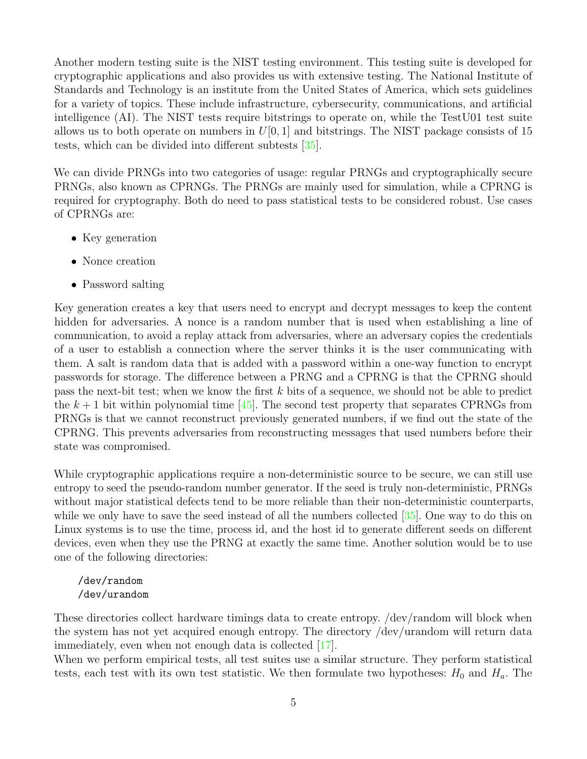Another modern testing suite is the NIST testing environment. This testing suite is developed for cryptographic applications and also provides us with extensive testing. The National Institute of Standards and Technology is an institute from the United States of America, which sets guidelines for a variety of topics. These include infrastructure, cybersecurity, communications, and artificial intelligence (AI). The NIST tests require bitstrings to operate on, while the TestU01 test suite allows us to both operate on numbers in  $U[0, 1]$  and bitstrings. The NIST package consists of 15 tests, which can be divided into different subtests [\[35\]](#page-32-1).

We can divide PRNGs into two categories of usage: regular PRNGs and cryptographically secure PRNGs, also known as CPRNGs. The PRNGs are mainly used for simulation, while a CPRNG is required for cryptography. Both do need to pass statistical tests to be considered robust. Use cases of CPRNGs are:

- Key generation
- Nonce creation
- Password salting

Key generation creates a key that users need to encrypt and decrypt messages to keep the content hidden for adversaries. A nonce is a random number that is used when establishing a line of communication, to avoid a replay attack from adversaries, where an adversary copies the credentials of a user to establish a connection where the server thinks it is the user communicating with them. A salt is random data that is added with a password within a one-way function to encrypt passwords for storage. The difference between a PRNG and a CPRNG is that the CPRNG should pass the next-bit test; when we know the first k bits of a sequence, we should not be able to predict the  $k + 1$  bit within polynomial time [\[45\]](#page-33-0). The second test property that separates CPRNGs from PRNGs is that we cannot reconstruct previously generated numbers, if we find out the state of the CPRNG. This prevents adversaries from reconstructing messages that used numbers before their state was compromised.

While cryptographic applications require a non-deterministic source to be secure, we can still use entropy to seed the pseudo-random number generator. If the seed is truly non-deterministic, PRNGs without major statistical defects tend to be more reliable than their non-deterministic counterparts, while we only have to save the seed instead of all the numbers collected  $[35]$ . One way to do this on Linux systems is to use the time, process id, and the host id to generate different seeds on different devices, even when they use the PRNG at exactly the same time. Another solution would be to use one of the following directories:

### /dev/random /dev/urandom

These directories collect hardware timings data to create entropy. /dev/random will block when the system has not yet acquired enough entropy. The directory /dev/urandom will return data immediately, even when not enough data is collected [\[17\]](#page-31-5).

When we perform empirical tests, all test suites use a similar structure. They perform statistical tests, each test with its own test statistic. We then formulate two hypotheses:  $H_0$  and  $H_a$ . The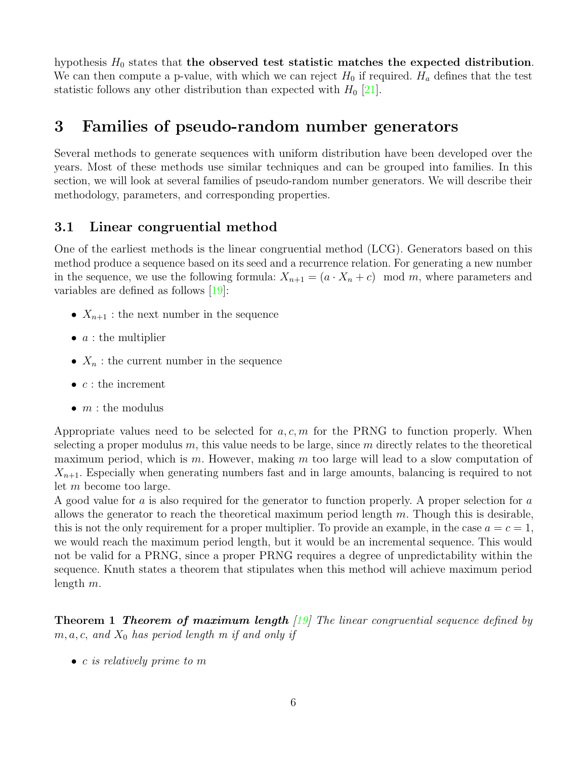hypothesis  $H_0$  states that the observed test statistic matches the expected distribution. We can then compute a p-value, with which we can reject  $H_0$  if required.  $H_a$  defines that the test statistic follows any other distribution than expected with  $H_0$  [\[21\]](#page-31-4).

# <span id="page-8-0"></span>3 Families of pseudo-random number generators

Several methods to generate sequences with uniform distribution have been developed over the years. Most of these methods use similar techniques and can be grouped into families. In this section, we will look at several families of pseudo-random number generators. We will describe their methodology, parameters, and corresponding properties.

### <span id="page-8-1"></span>3.1 Linear congruential method

One of the earliest methods is the linear congruential method (LCG). Generators based on this method produce a sequence based on its seed and a recurrence relation. For generating a new number in the sequence, we use the following formula:  $X_{n+1} = (a \cdot X_n + c) \mod m$ , where parameters and variables are defined as follows [\[19\]](#page-31-1):

- $X_{n+1}$ : the next number in the sequence
- $a:$  the multiplier
- $X_n$ : the current number in the sequence
- $c$  : the increment
- $m$ : the modulus

Appropriate values need to be selected for  $a, c, m$  for the PRNG to function properly. When selecting a proper modulus  $m$ , this value needs to be large, since  $m$  directly relates to the theoretical maximum period, which is m. However, making m too large will lead to a slow computation of  $X_{n+1}$ . Especially when generating numbers fast and in large amounts, balancing is required to not let m become too large.

A good value for a is also required for the generator to function properly. A proper selection for a allows the generator to reach the theoretical maximum period length  $m$ . Though this is desirable, this is not the only requirement for a proper multiplier. To provide an example, in the case  $a = c = 1$ , we would reach the maximum period length, but it would be an incremental sequence. This would not be valid for a PRNG, since a proper PRNG requires a degree of unpredictability within the sequence. Knuth states a theorem that stipulates when this method will achieve maximum period length m.

**Theorem 1 Theorem of maximum length** [\[19\]](#page-31-1) The linear congruential sequence defined by  $m, a, c, and X_0$  has period length m if and only if

• c is relatively prime to m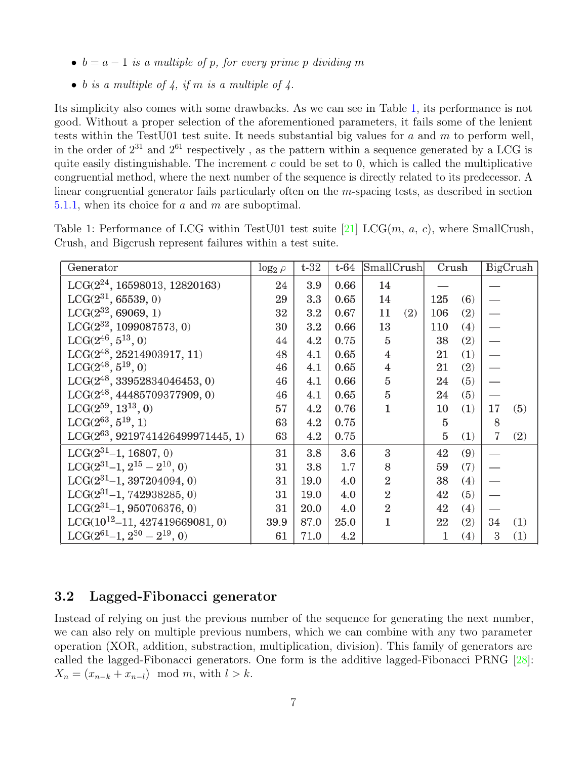- $b = a 1$  is a multiple of p, for every prime p dividing m
- $\bullet$  b is a multiple of 4, if m is a multiple of 4.

Its simplicity also comes with some drawbacks. As we can see in Table [1,](#page-9-1) its performance is not good. Without a proper selection of the aforementioned parameters, it fails some of the lenient tests within the TestU01 test suite. It needs substantial big values for a and  $m$  to perform well, in the order of  $2^{31}$  and  $2^{61}$  respectively, as the pattern within a sequence generated by a LCG is quite easily distinguishable. The increment  $c$  could be set to 0, which is called the multiplicative congruential method, where the next number of the sequence is directly related to its predecessor. A linear congruential generator fails particularly often on the m-spacing tests, as described in section [5.1.1,](#page-13-1) when its choice for a and m are suboptimal.

| Generator                              | $\log_2 \rho$ | $t-32$ | $t-64$ | SmallCrush     |     | Crush          |     |    | BigCrush |
|----------------------------------------|---------------|--------|--------|----------------|-----|----------------|-----|----|----------|
| $LCG(2^{24}, 16598013, 12820163)$      | 24            | 3.9    | 0.66   | 14             |     |                |     |    |          |
| $LCG(2^{31}, 65539, 0)$                | 29            | 3.3    | 0.65   | 14             |     | 125            | (6) |    |          |
| $LCG(2^{32}, 69069, 1)$                | 32            | 3.2    | 0.67   | 11             | (2) | 106            | (2) |    |          |
| $LCG(2^{32}, 1099087573, 0)$           | 30            | 3.2    | 0.66   | 13             |     | 110            | (4) |    |          |
| $LCG(2^{46}, 5^{13}, 0)$               | 44            | 4.2    | 0.75   | 5              |     | 38             | (2) |    |          |
| $LCG(2^{48}, 25214903917, 11)$         | 48            | 4.1    | 0.65   | $\overline{4}$ |     | 21             | (1) |    |          |
| $LCG(2^{48}, 5^{19}, 0)$               | 46            | 4.1    | 0.65   | $\overline{4}$ |     | 21             | (2) |    |          |
| $\rm LCG(2^{48},$ 33952834046453, 0)   | 46            | 4.1    | 0.66   | 5              |     | 24             | (5) |    |          |
| $LCG(2^{48}, 44485709377909, 0)$       | 46            | 4.1    | 0.65   | 5              |     | 24             | (5) |    |          |
| $LCG(2^{59}, 13^{13}, 0)$              | 57            | 4.2    | 0.76   | 1              |     | 10             | (1) | 17 | (5)      |
| $LCG(2^{63}, 5^{19}, 1)$               | 63            | 4.2    | 0.75   |                |     | $\overline{5}$ |     | 8  |          |
| $LCG(2^{63}, 9219741426499971445, 1)$  | 63            | 4.2    | 0.75   |                |     | 5              | (1) | 7  | (2)      |
| $LCG(2^{31}-1, 16807, 0)$              | 31            | 3.8    | 3.6    | 3              |     | 42             | (9) |    |          |
| LCG $(2^{31} - 1, 2^{15} - 2^{10}, 0)$ | 31            | 3.8    | 1.7    | 8              |     | 59             | (7) |    |          |
| $LCG(2^{31}-1, 397204094, 0)$          | 31            | 19.0   | 4.0    | $\overline{2}$ |     | 38             | (4) |    |          |
| $LCG(2^{31}-1, 742938285, 0)$          | 31            | 19.0   | 4.0    | $\overline{2}$ |     | 42             | (5) |    |          |
| $LCG(2^{31}-1, 950706376, 0)$          | 31            | 20.0   | 4.0    | $\overline{2}$ |     | 42             | (4) |    |          |
| $LCG(10^{12}-11, 427419669081, 0)$     | 39.9          | 87.0   | 25.0   | $\mathbf{1}$   |     | 22             | (2) | 34 | (1)      |
| LCG $(2^{61} - 1, 2^{30} - 2^{19}, 0)$ | 61            | 71.0   | 4.2    |                |     | 1              | (4) | 3  | (1)      |

<span id="page-9-1"></span>Table 1: Performance of LCG within TestU01 test suite [\[21\]](#page-31-4) LCG(m, a, c), where SmallCrush, Crush, and Bigcrush represent failures within a test suite.

### <span id="page-9-0"></span>3.2 Lagged-Fibonacci generator

Instead of relying on just the previous number of the sequence for generating the next number, we can also rely on multiple previous numbers, which we can combine with any two parameter operation (XOR, addition, substraction, multiplication, division). This family of generators are called the lagged-Fibonacci generators. One form is the additive lagged-Fibonacci PRNG [\[28\]](#page-31-6):  $X_n = (x_{n-k} + x_{n-l}) \mod m$ , with  $l > k$ .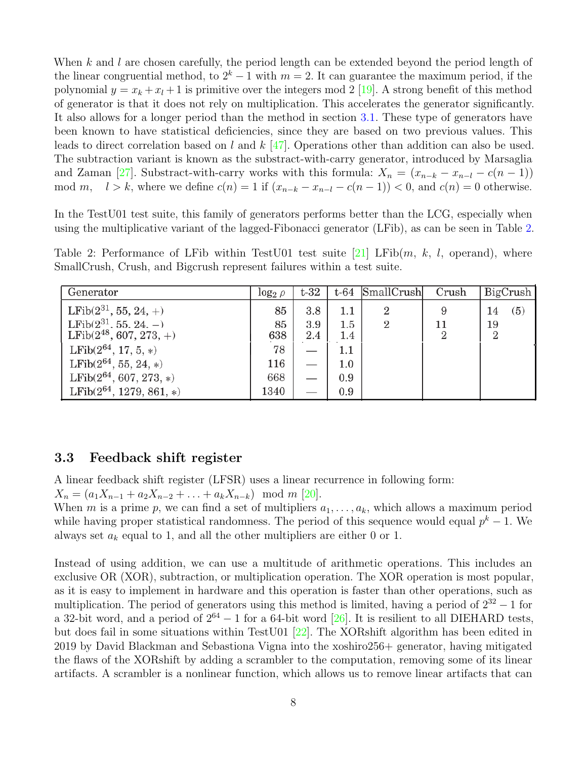When k and l are chosen carefully, the period length can be extended beyond the period length of the linear congruential method, to  $2^k - 1$  with  $m = 2$ . It can guarantee the maximum period, if the polynomial  $y = x_k + x_l + 1$  is primitive over the integers mod 2 [\[19\]](#page-31-1). A strong benefit of this method of generator is that it does not rely on multiplication. This accelerates the generator significantly. It also allows for a longer period than the method in section [3.1.](#page-8-1) These type of generators have been known to have statistical deficiencies, since they are based on two previous values. This leads to direct correlation based on l and k [\[47\]](#page-33-1). Operations other than addition can also be used. The subtraction variant is known as the substract-with-carry generator, introduced by Marsaglia and Zaman [\[27\]](#page-31-0). Substract-with-carry works with this formula:  $X_n = (x_{n-k} - x_{n-l} - c(n-1))$ mod m,  $l > k$ , where we define  $c(n) = 1$  if  $(x_{n-k} - x_{n-l} - c(n-1)) < 0$ , and  $c(n) = 0$  otherwise.

In the TestU01 test suite, this family of generators performs better than the LCG, especially when using the multiplicative variant of the lagged-Fibonacci generator (LFib), as can be seen in Table [2.](#page-10-1)

<span id="page-10-1"></span>Table 2: Performance of LFib within TestU01 test suite [\[21\]](#page-31-4) LFib $(m, k, l,$  operand), where SmallCrush, Crush, and Bigcrush represent failures within a test suite.

| Generator                     | $log_2$ $\rho$ | $t-32$ |         | $t-64$ SmallCrush | Crush          | BigCrush       |
|-------------------------------|----------------|--------|---------|-------------------|----------------|----------------|
| $LFib(2^{31}, 55, 24, +)$     | 85             | 3.8    | 1.1     | 2                 | 9              | (5)<br>14      |
| LFib $(2^{31}, 55, 24, -)$    | 85             | 3.9    | $1.5\,$ | 2                 | 11             | 19             |
| $LFib(2^{48}, 607, 273, +)$   | 638            | 2.4    | 1.4     |                   | $\overline{2}$ | $\overline{2}$ |
| LFib $(2^{64}, 17, 5, *)$     | 78             |        |         |                   |                |                |
| $LFib(2^{64}, 55, 24, *)$     | 116            |        | 1.0     |                   |                |                |
| LFib $(2^{64}, 607, 273, *)$  | 668            |        | 0.9     |                   |                |                |
| LFib $(2^{64}, 1279, 861, *)$ | 1340           |        | 0.9     |                   |                |                |

### <span id="page-10-0"></span>3.3 Feedback shift register

A linear feedback shift register (LFSR) uses a linear recurrence in following form:

 $X_n = (a_1X_{n-1} + a_2X_{n-2} + \ldots + a_kX_{n-k}) \mod m$  [\[20\]](#page-31-7).

When m is a prime p, we can find a set of multipliers  $a_1, \ldots, a_k$ , which allows a maximum period while having proper statistical randomness. The period of this sequence would equal  $p<sup>k</sup> - 1$ . We always set  $a_k$  equal to 1, and all the other multipliers are either 0 or 1.

Instead of using addition, we can use a multitude of arithmetic operations. This includes an exclusive OR (XOR), subtraction, or multiplication operation. The XOR operation is most popular, as it is easy to implement in hardware and this operation is faster than other operations, such as multiplication. The period of generators using this method is limited, having a period of  $2^{32} - 1$  for a 32-bit word, and a period of  $2^{64} - 1$  for a 64-bit word [\[26\]](#page-31-8). It is resilient to all DIEHARD tests, but does fail in some situations within TestU01 [\[22\]](#page-31-9). The XORshift algorithm has been edited in 2019 by David Blackman and Sebastiona Vigna into the xoshiro256+ generator, having mitigated the flaws of the XORshift by adding a scrambler to the computation, removing some of its linear artifacts. A scrambler is a nonlinear function, which allows us to remove linear artifacts that can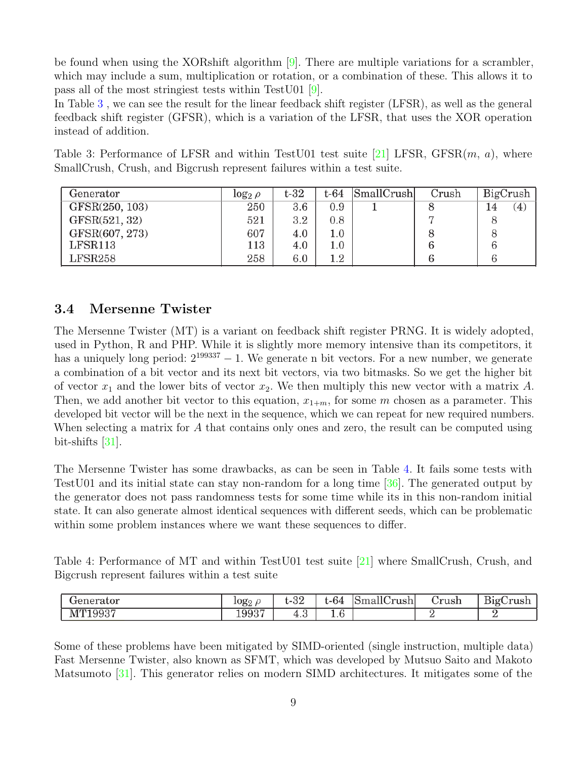be found when using the XORshift algorithm [\[9\]](#page-30-4). There are multiple variations for a scrambler, which may include a sum, multiplication or rotation, or a combination of these. This allows it to pass all of the most stringiest tests within TestU01 [\[9\]](#page-30-4).

In Table [3](#page-11-1) , we can see the result for the linear feedback shift register (LFSR), as well as the general feedback shift register (GFSR), which is a variation of the LFSR, that uses the XOR operation instead of addition.

<span id="page-11-1"></span>Table 3: Performance of LFSR and within Test U01 test suite [\[21\]](#page-31-4) LFSR, GFSR $(m, a)$ , where SmallCrush, Crush, and Bigcrush represent failures within a test suite.

| Generator      | $log_2 \rho$ | $t-32$ | t-64    | SmallCrush | Crush | BigCrush                |
|----------------|--------------|--------|---------|------------|-------|-------------------------|
| GFSR(250, 103) | 250          | 3.6    | 0.9     |            |       | $\left( 4\right)$<br>14 |
| GFSR(521, 32)  | 521          | 3.2    | 0.8     |            |       | 8                       |
| GFSR(607, 273) | 607          | 4.0    | $1.0\,$ |            | O     | 8                       |
| LFSR113        | 113          | 4.0    | $1.0\,$ |            |       | 6                       |
| LFSR258        | 258          | 6.0    | $1.2\,$ |            |       | 6                       |

### <span id="page-11-0"></span>3.4 Mersenne Twister

The Mersenne Twister (MT) is a variant on feedback shift register PRNG. It is widely adopted, used in Python, R and PHP. While it is slightly more memory intensive than its competitors, it has a uniquely long period:  $2^{199337} - 1$ . We generate n bit vectors. For a new number, we generate a combination of a bit vector and its next bit vectors, via two bitmasks. So we get the higher bit of vector  $x_1$  and the lower bits of vector  $x_2$ . We then multiply this new vector with a matrix A. Then, we add another bit vector to this equation,  $x_{1+m}$ , for some m chosen as a parameter. This developed bit vector will be the next in the sequence, which we can repeat for new required numbers. When selecting a matrix for A that contains only ones and zero, the result can be computed using bit-shifts [\[31\]](#page-32-2).

The Mersenne Twister has some drawbacks, as can be seen in Table [4.](#page-11-2) It fails some tests with TestU01 and its initial state can stay non-random for a long time [\[36\]](#page-32-3). The generated output by the generator does not pass randomness tests for some time while its in this non-random initial state. It can also generate almost identical sequences with different seeds, which can be problematic within some problem instances where we want these sequences to differ.

<span id="page-11-2"></span>Table 4: Performance of MT and within TestU01 test suite [\[21\]](#page-31-4) where SmallCrush, Crush, and Bigcrush represent failures within a test suite

| :ator             | $log_{2}$ | າດ<br>∟−ບ∠    | $\sqrt{2}$<br>-64      | 11 <sub>0</sub><br>הו<br>`mallt.<br>ʻrushi | rush | $\sim$<br>$\mathbf{\mathbf{\mathbf{\mathbf{u}}}}$<br>510' |
|-------------------|-----------|---------------|------------------------|--------------------------------------------|------|-----------------------------------------------------------|
| 9937<br>$M^{m-1}$ | 19937     | $\sim$<br>4.5 | $\sqrt{2}$<br>ı<br>±.∪ |                                            |      |                                                           |

Some of these problems have been mitigated by SIMD-oriented (single instruction, multiple data) Fast Mersenne Twister, also known as SFMT, which was developed by Mutsuo Saito and Makoto Matsumoto [\[31\]](#page-32-2). This generator relies on modern SIMD architectures. It mitigates some of the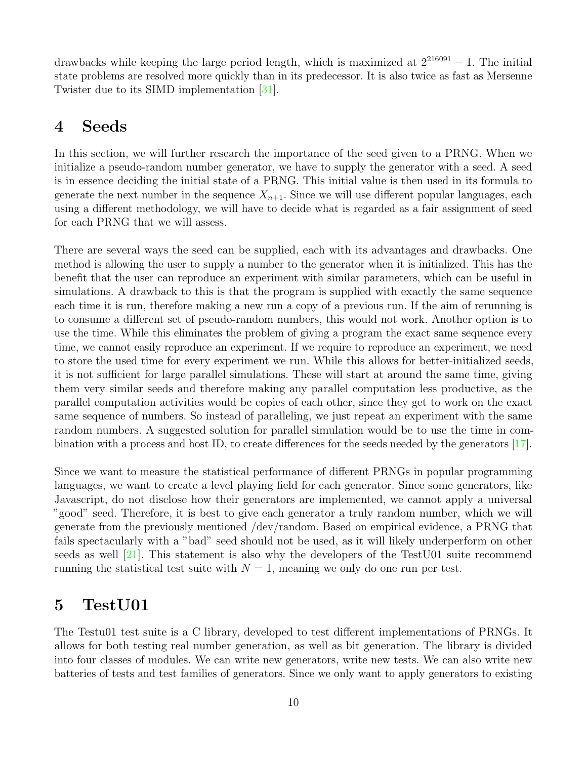drawbacks while keeping the large period length, which is maximized at  $2^{216091} - 1$ . The initial state problems are resolved more quickly than in its predecessor. It is also twice as fast as Mersenne Twister due to its SIMD implementation [\[31\]](#page-32-2).

# <span id="page-12-0"></span>4 Seeds

In this section, we will further research the importance of the seed given to a PRNG. When we initialize a pseudo-random number generator, we have to supply the generator with a seed. A seed is in essence deciding the initial state of a PRNG. This initial value is then used in its formula to generate the next number in the sequence  $X_{n+1}$ . Since we will use different popular languages, each using a different methodology, we will have to decide what is regarded as a fair assignment of seed for each PRNG that we will assess.

There are several ways the seed can be supplied, each with its advantages and drawbacks. One method is allowing the user to supply a number to the generator when it is initialized. This has the benefit that the user can reproduce an experiment with similar parameters, which can be useful in simulations. A drawback to this is that the program is supplied with exactly the same sequence each time it is run, therefore making a new run a copy of a previous run. If the aim of rerunning is to consume a different set of pseudo-random numbers, this would not work. Another option is to use the time. While this eliminates the problem of giving a program the exact same sequence every time, we cannot easily reproduce an experiment. If we require to reproduce an experiment, we need to store the used time for every experiment we run. While this allows for better-initialized seeds, it is not sufficient for large parallel simulations. These will start at around the same time, giving them very similar seeds and therefore making any parallel computation less productive, as the parallel computation activities would be copies of each other, since they get to work on the exact same sequence of numbers. So instead of paralleling, we just repeat an experiment with the same random numbers. A suggested solution for parallel simulation would be to use the time in combination with a process and host ID, to create differences for the seeds needed by the generators  $|17|$ .

Since we want to measure the statistical performance of different PRNGs in popular programming languages, we want to create a level playing field for each generator. Since some generators, like Javascript, do not disclose how their generators are implemented, we cannot apply a universal "good" seed. Therefore, it is best to give each generator a truly random number, which we will generate from the previously mentioned /dev/random. Based on empirical evidence, a PRNG that fails spectacularly with a "bad" seed should not be used, as it will likely underperform on other seeds as well [\[21\]](#page-31-4). This statement is also why the developers of the TestU01 suite recommend running the statistical test suite with  $N = 1$ , meaning we only do one run per test.

# <span id="page-12-1"></span>5 TestU01

The Testu01 test suite is a C library, developed to test different implementations of PRNGs. It allows for both testing real number generation, as well as bit generation. The library is divided into four classes of modules. We can write new generators, write new tests. We can also write new batteries of tests and test families of generators. Since we only want to apply generators to existing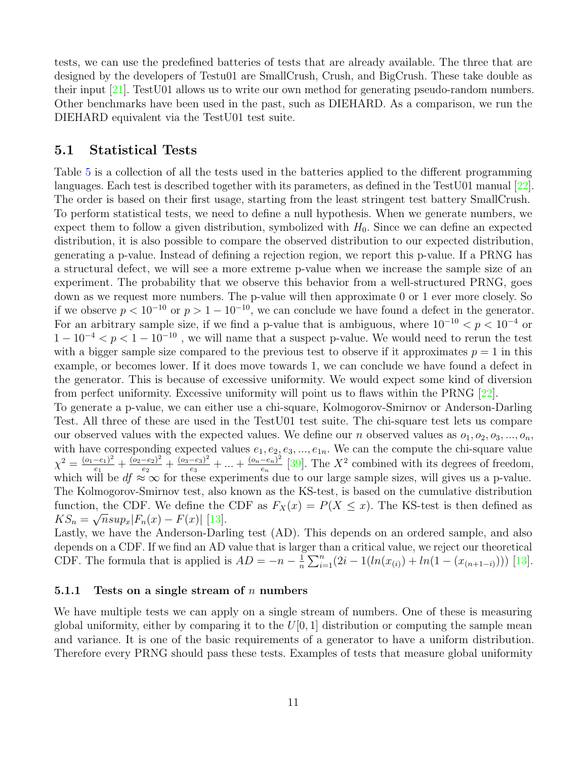tests, we can use the predefined batteries of tests that are already available. The three that are designed by the developers of Testu01 are SmallCrush, Crush, and BigCrush. These take double as their input [\[21\]](#page-31-4). TestU01 allows us to write our own method for generating pseudo-random numbers. Other benchmarks have been used in the past, such as DIEHARD. As a comparison, we run the DIEHARD equivalent via the TestU01 test suite.

### <span id="page-13-0"></span>5.1 Statistical Tests

Table [5](#page-16-2) is a collection of all the tests used in the batteries applied to the different programming languages. Each test is described together with its parameters, as defined in the TestU01 manual [\[22\]](#page-31-9). The order is based on their first usage, starting from the least stringent test battery SmallCrush. To perform statistical tests, we need to define a null hypothesis. When we generate numbers, we expect them to follow a given distribution, symbolized with  $H_0$ . Since we can define an expected distribution, it is also possible to compare the observed distribution to our expected distribution, generating a p-value. Instead of defining a rejection region, we report this p-value. If a PRNG has a structural defect, we will see a more extreme p-value when we increase the sample size of an experiment. The probability that we observe this behavior from a well-structured PRNG, goes down as we request more numbers. The p-value will then approximate 0 or 1 ever more closely. So if we observe  $p < 10^{-10}$  or  $p > 1 - 10^{-10}$ , we can conclude we have found a defect in the generator. For an arbitrary sample size, if we find a p-value that is ambiguous, where  $10^{-10} < p < 10^{-4}$  or  $1-10^{-4} < p < 1-10^{-10}$ , we will name that a suspect p-value. We would need to rerun the test with a bigger sample size compared to the previous test to observe if it approximates  $p = 1$  in this example, or becomes lower. If it does move towards 1, we can conclude we have found a defect in the generator. This is because of excessive uniformity. We would expect some kind of diversion from perfect uniformity. Excessive uniformity will point us to flaws within the PRNG [\[22\]](#page-31-9).

To generate a p-value, we can either use a chi-square, Kolmogorov-Smirnov or Anderson-Darling Test. All three of these are used in the TestU01 test suite. The chi-square test lets us compare our observed values with the expected values. We define our *n* observed values as  $o_1, o_2, o_3, ..., o_n$ , with have corresponding expected values  $e_1, e_2, e_3, ..., e_{1n}$ . We can the compute the chi-square value  $\chi^2 = \frac{(o_1 - e_1)^2}{e_1}$  $\frac{(-e_1)^2}{e_1} + \frac{(o_2-e_2)^2}{e_2}$  $\frac{(-e_2)^2}{e_2}+\frac{(o_3-e_3)^2}{e_3}$  $\frac{(-e_3)^2}{e_3} + \ldots + \frac{(o_n - e_n)^2}{e_n}$  $\frac{-e_n)^2}{e_n}$  [\[39\]](#page-32-4). The  $X^2$  combined with its degrees of freedom, which will be  $df \approx \infty$  for these experiments due to our large sample sizes, will gives us a p-value. The Kolmogorov-Smirnov test, also known as the KS-test, is based on the cumulative distribution function, the CDF. We define the CDF as  $F_X(x) = P(X \leq x)$ . The KS-test is then defined as  $KS_n = \sqrt{n} \sup_x |F_n(x) - F(x)|$  [\[13\]](#page-30-5).

Lastly, we have the Anderson-Darling test (AD). This depends on an ordered sample, and also depends on a CDF. If we find an AD value that is larger than a critical value, we reject our theoretical CDF. The formula that is applied is  $AD = -n - \frac{1}{n}$  $\frac{1}{n}\sum_{i=1}^{n}(2i-1(ln(x_{(i)})+ln(1-(x_{(n+1-i)})))$  [\[13\]](#page-30-5).

### <span id="page-13-1"></span>5.1.1 Tests on a single stream of n numbers

We have multiple tests we can apply on a single stream of numbers. One of these is measuring global uniformity, either by comparing it to the  $U[0, 1]$  distribution or computing the sample mean and variance. It is one of the basic requirements of a generator to have a uniform distribution. Therefore every PRNG should pass these tests. Examples of tests that measure global uniformity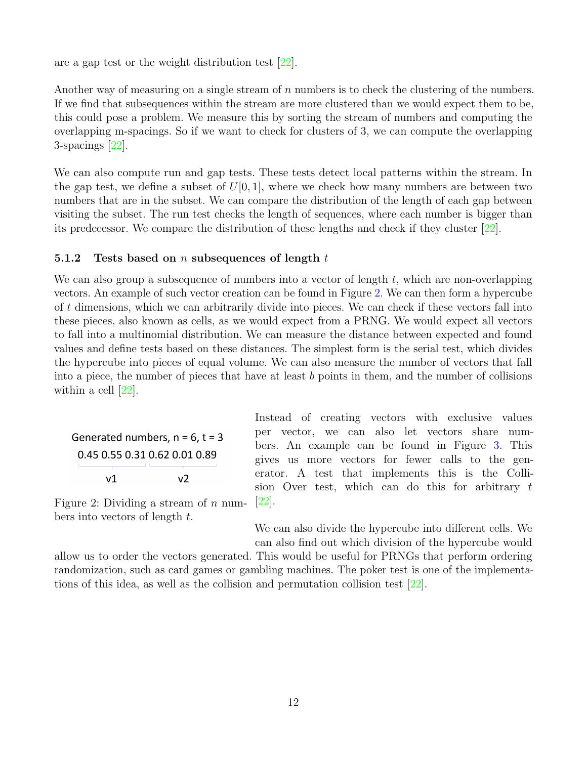are a gap test or the weight distribution test [\[22\]](#page-31-9).

Another way of measuring on a single stream of  $n$  numbers is to check the clustering of the numbers. If we find that subsequences within the stream are more clustered than we would expect them to be, this could pose a problem. We measure this by sorting the stream of numbers and computing the overlapping m-spacings. So if we want to check for clusters of 3, we can compute the overlapping 3-spacings [\[22\]](#page-31-9).

We can also compute run and gap tests. These tests detect local patterns within the stream. In the gap test, we define a subset of  $U[0, 1]$ , where we check how many numbers are between two numbers that are in the subset. We can compare the distribution of the length of each gap between visiting the subset. The run test checks the length of sequences, where each number is bigger than its predecessor. We compare the distribution of these lengths and check if they cluster [\[22\]](#page-31-9).

#### <span id="page-14-0"></span>5.1.2 Tests based on n subsequences of length  $t$

We can also group a subsequence of numbers into a vector of length  $t$ , which are non-overlapping vectors. An example of such vector creation can be found in Figure [2.](#page-14-1) We can then form a hypercube of t dimensions, which we can arbitrarily divide into pieces. We can check if these vectors fall into these pieces, also known as cells, as we would expect from a PRNG. We would expect all vectors to fall into a multinomial distribution. We can measure the distance between expected and found values and define tests based on these distances. The simplest form is the serial test, which divides the hypercube into pieces of equal volume. We can also measure the number of vectors that fall into a piece, the number of pieces that have at least b points in them, and the number of collisions within a cell [\[22\]](#page-31-9).

<span id="page-14-1"></span>

|                               | Generated numbers, $n = 6$ , $t = 3$ |
|-------------------------------|--------------------------------------|
| 0.45 0.55 0.31 0.62 0.01 0.89 |                                      |
| v1                            | v2                                   |

Instead of creating vectors with exclusive values per vector, we can also let vectors share numbers. An example can be found in Figure [3.](#page-15-3) This gives us more vectors for fewer calls to the generator. A test that implements this is the Collision Over test, which can do this for arbitrary  $t$ [\[22\]](#page-31-9).

Figure 2: Dividing a stream of  $n$  numbers into vectors of length  $t$ .

> We can also divide the hypercube into different cells. We can also find out which division of the hypercube would

allow us to order the vectors generated. This would be useful for PRNGs that perform ordering randomization, such as card games or gambling machines. The poker test is one of the implementations of this idea, as well as the collision and permutation collision test [\[22\]](#page-31-9).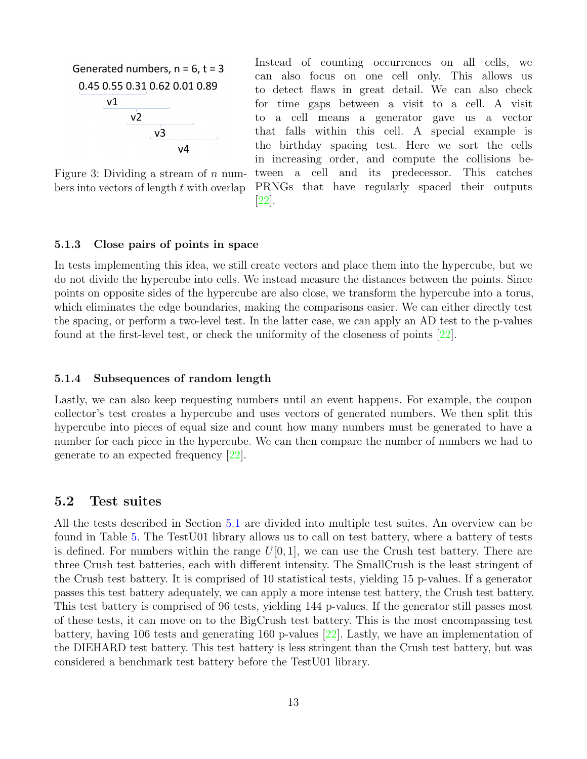<span id="page-15-3"></span>

Instead of counting occurrences on all cells, can also focus on one cell only. This allows us to detect flaws in great detail. We can also check for time gaps between a visit to a cell. A visit to a cell means a generator gave us a vector that falls within this cell. A special example is the birthday spacing test. Here we sort the cells in increasing order, and compute the collisions between a cell and its predecessor. This catches PRNGs that have regularly spaced their outputs [\[22\]](#page-31-9).

Figure 3: Dividing a stream of  $n$  numbers into vectors of length  $t$  with overlap

#### <span id="page-15-0"></span>5.1.3 Close pairs of points in space

In tests implementing this idea, we still create vectors and place them into the hypercube, but we do not divide the hypercube into cells. We instead measure the distances between the points. Since points on opposite sides of the hypercube are also close, we transform the hypercube into a torus, which eliminates the edge boundaries, making the comparisons easier. We can either directly test the spacing, or perform a two-level test. In the latter case, we can apply an AD test to the p-values found at the first-level test, or check the uniformity of the closeness of points [\[22\]](#page-31-9).

#### <span id="page-15-1"></span>5.1.4 Subsequences of random length

Lastly, we can also keep requesting numbers until an event happens. For example, the coupon collector's test creates a hypercube and uses vectors of generated numbers. We then split this hypercube into pieces of equal size and count how many numbers must be generated to have a number for each piece in the hypercube. We can then compare the number of numbers we had to generate to an expected frequency [\[22\]](#page-31-9).

### <span id="page-15-2"></span>5.2 Test suites

All the tests described in Section [5.1](#page-13-0) are divided into multiple test suites. An overview can be found in Table [5.](#page-16-2) The TestU01 library allows us to call on test battery, where a battery of tests is defined. For numbers within the range  $U[0, 1]$ , we can use the Crush test battery. There are three Crush test batteries, each with different intensity. The SmallCrush is the least stringent of the Crush test battery. It is comprised of 10 statistical tests, yielding 15 p-values. If a generator passes this test battery adequately, we can apply a more intense test battery, the Crush test battery. This test battery is comprised of 96 tests, yielding 144 p-values. If the generator still passes most of these tests, it can move on to the BigCrush test battery. This is the most encompassing test battery, having 106 tests and generating 160 p-values [\[22\]](#page-31-9). Lastly, we have an implementation of the DIEHARD test battery. This test battery is less stringent than the Crush test battery, but was considered a benchmark test battery before the TestU01 library.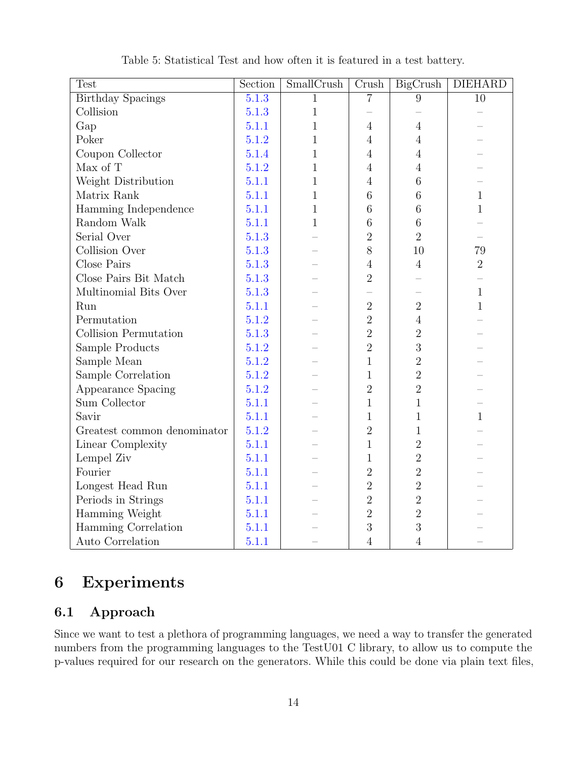<span id="page-16-2"></span>

| <b>Test</b>                 | Section | SmallCrush   | Crush          | BigCrush       | <b>DIEHARD</b> |
|-----------------------------|---------|--------------|----------------|----------------|----------------|
| <b>Birthday Spacings</b>    | 5.1.3   | $\mathbf{1}$ | $\overline{7}$ | 9              | 10             |
| Collision                   | 5.1.3   | $\mathbf{1}$ |                |                |                |
| Gap                         | 5.1.1   | $\mathbf 1$  | $\overline{4}$ | $\overline{4}$ |                |
| Poker                       | 5.1.2   | $\mathbf 1$  | $\overline{4}$ | $\overline{4}$ |                |
| Coupon Collector            | 5.1.4   | $\mathbf{1}$ | $\overline{4}$ | $\overline{4}$ |                |
| Max of T                    | 5.1.2   | $\mathbf 1$  | $\overline{4}$ | $\overline{4}$ |                |
| Weight Distribution         | 5.1.1   | $\mathbf{1}$ | $\overline{4}$ | 6              |                |
| Matrix Rank                 | 5.1.1   | $\mathbf 1$  | 6              | 6              | $\mathbf{1}$   |
| Hamming Independence        | 5.1.1   | $\mathbf{1}$ | 6              | 6              | $\mathbf{1}$   |
| Random Walk                 | 5.1.1   | $\mathbf{1}$ | 6              | $\,6$          |                |
| Serial Over                 | 5.1.3   |              | $\overline{2}$ | $\overline{2}$ |                |
| Collision Over              | 5.1.3   |              | 8              | 10             | 79             |
| Close Pairs                 | 5.1.3   |              | $\overline{4}$ | $\overline{4}$ | $\overline{2}$ |
| Close Pairs Bit Match       | 5.1.3   |              | $\overline{2}$ |                |                |
| Multinomial Bits Over       | 5.1.3   |              |                |                | $\mathbf{1}$   |
| Run                         | 5.1.1   |              | $\overline{2}$ | $\overline{2}$ | $\mathbf{1}$   |
| Permutation                 | 5.1.2   |              | $\overline{2}$ | $\overline{4}$ |                |
| Collision Permutation       | 5.1.3   |              | $\overline{2}$ | $\overline{2}$ |                |
| Sample Products             | 5.1.2   |              | $\overline{2}$ | 3              |                |
| Sample Mean                 | 5.1.2   |              | $\mathbf{1}$   | $\overline{2}$ |                |
| Sample Correlation          | 5.1.2   |              | 1              | $\overline{2}$ |                |
| Appearance Spacing          | 5.1.2   |              | $\overline{2}$ | $\overline{2}$ |                |
| Sum Collector               | 5.1.1   |              | $\mathbf 1$    | $\mathbf{1}$   |                |
| Savir                       | 5.1.1   |              | 1              | $\mathbf{1}$   | $\mathbf{1}$   |
| Greatest common denominator | 5.1.2   |              | $\overline{2}$ | 1              |                |
| Linear Complexity           | 5.1.1   |              | 1              | $\overline{2}$ |                |
| Lempel Ziv                  | 5.1.1   |              | $\mathbf 1$    | $\overline{2}$ |                |
| Fourier                     | 5.1.1   |              | $\overline{2}$ | $\sqrt{2}$     |                |
| Longest Head Run            | 5.1.1   |              | $\overline{2}$ | $\overline{2}$ |                |
| Periods in Strings          | 5.1.1   |              | $\overline{2}$ | $\overline{2}$ |                |
| Hamming Weight              | 5.1.1   |              | $\overline{2}$ | $\overline{2}$ |                |
| Hamming Correlation         | 5.1.1   |              | 3              | 3              |                |
| Auto Correlation            | 5.1.1   |              | $\overline{4}$ | $\overline{4}$ |                |

Table 5: Statistical Test and how often it is featured in a test battery.

# <span id="page-16-0"></span>6 Experiments

# <span id="page-16-1"></span>6.1 Approach

Since we want to test a plethora of programming languages, we need a way to transfer the generated numbers from the programming languages to the TestU01 C library, to allow us to compute the p-values required for our research on the generators. While this could be done via plain text files,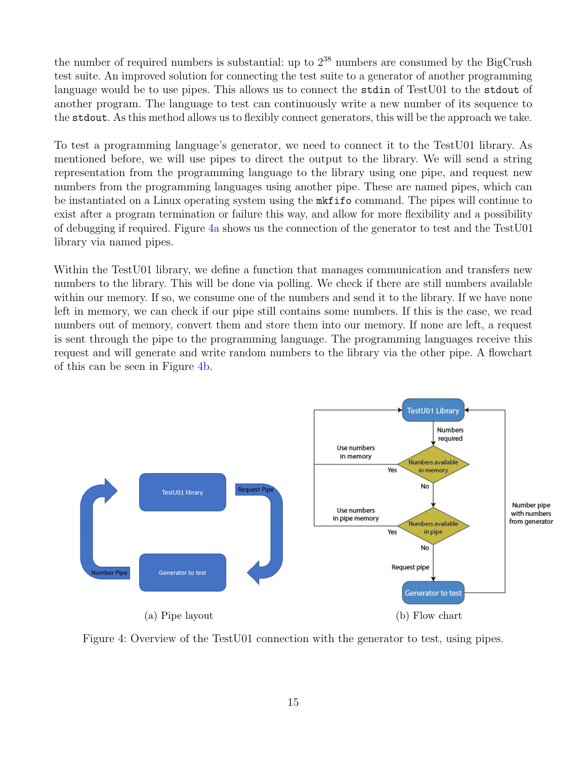the number of required numbers is substantial: up to  $2^{38}$  numbers are consumed by the BigCrush test suite. An improved solution for connecting the test suite to a generator of another programming language would be to use pipes. This allows us to connect the stdin of TestU01 to the stdout of another program. The language to test can continuously write a new number of its sequence to the stdout. As this method allows us to flexibly connect generators, this will be the approach we take.

To test a programming language's generator, we need to connect it to the TestU01 library. As mentioned before, we will use pipes to direct the output to the library. We will send a string representation from the programming language to the library using one pipe, and request new numbers from the programming languages using another pipe. These are named pipes, which can be instantiated on a Linux operating system using the mkfifo command. The pipes will continue to exist after a program termination or failure this way, and allow for more flexibility and a possibility of debugging if required. Figure [4a](#page-17-0) shows us the connection of the generator to test and the TestU01 library via named pipes.

Within the TestU01 library, we define a function that manages communication and transfers new numbers to the library. This will be done via polling. We check if there are still numbers available within our memory. If so, we consume one of the numbers and send it to the library. If we have none left in memory, we can check if our pipe still contains some numbers. If this is the case, we read numbers out of memory, convert them and store them into our memory. If none are left, a request is sent through the pipe to the programming language. The programming languages receive this request and will generate and write random numbers to the library via the other pipe. A flowchart of this can be seen in Figure [4b.](#page-17-0)

<span id="page-17-0"></span>

Figure 4: Overview of the TestU01 connection with the generator to test, using pipes.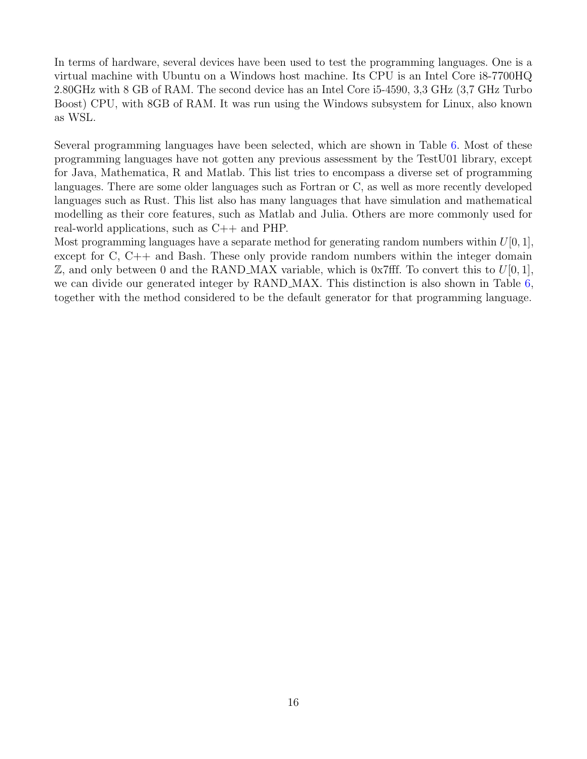In terms of hardware, several devices have been used to test the programming languages. One is a virtual machine with Ubuntu on a Windows host machine. Its CPU is an Intel Core i8-7700HQ 2.80GHz with 8 GB of RAM. The second device has an Intel Core i5-4590, 3,3 GHz (3,7 GHz Turbo Boost) CPU, with 8GB of RAM. It was run using the Windows subsystem for Linux, also known as WSL.

Several programming languages have been selected, which are shown in Table [6.](#page-19-0) Most of these programming languages have not gotten any previous assessment by the TestU01 library, except for Java, Mathematica, R and Matlab. This list tries to encompass a diverse set of programming languages. There are some older languages such as Fortran or C, as well as more recently developed languages such as Rust. This list also has many languages that have simulation and mathematical modelling as their core features, such as Matlab and Julia. Others are more commonly used for real-world applications, such as C++ and PHP.

Most programming languages have a separate method for generating random numbers within  $U[0, 1]$ , except for C, C++ and Bash. These only provide random numbers within the integer domain  $\mathbb{Z}$ , and only between 0 and the RAND MAX variable, which is 0x7fff. To convert this to  $U[0, 1]$ , we can divide our generated integer by RAND\_MAX. This distinction is also shown in Table [6,](#page-19-0) together with the method considered to be the default generator for that programming language.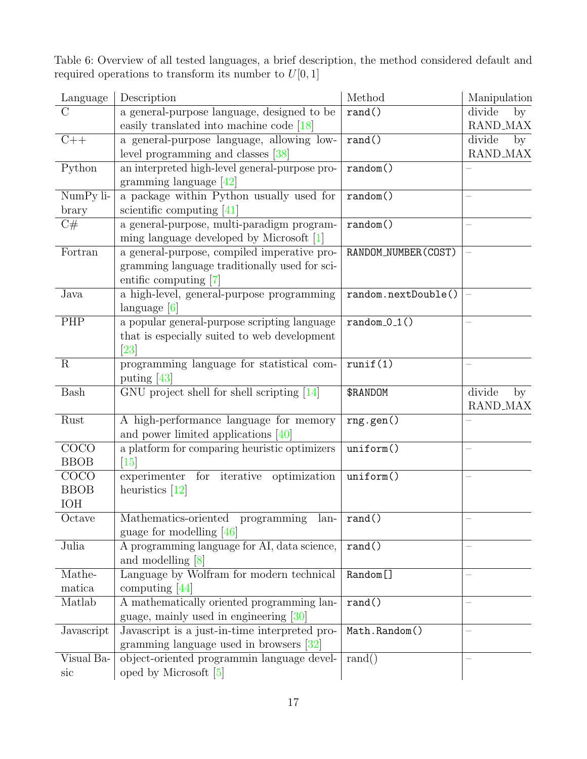<span id="page-19-0"></span>Table 6: Overview of all tested languages, a brief description, the method considered default and required operations to transform its number to  $U[0, 1]$ 

| Language       | Description                                    | Method               | Manipulation          |
|----------------|------------------------------------------------|----------------------|-----------------------|
| C              | a general-purpose language, designed to be     | rand()               | divide<br>by          |
|                | easily translated into machine code $[18]$     |                      | <b>RAND_MAX</b>       |
| $C++$          | a general-purpose language, allowing low-      | rand()               | divide<br>by          |
|                | level programming and classes [38]             |                      | RAND_MAX              |
| Python         | an interpreted high-level general-purpose pro- | random()             |                       |
|                | gramming language $[42]$                       |                      |                       |
| NumPy li-      | a package within Python usually used for       | random()             |                       |
| brary          | scientific computing $[41]$                    |                      |                       |
| C#             | a general-purpose, multi-paradigm program-     | random()             |                       |
|                | ming language developed by Microsoft $[1]$     |                      |                       |
| Fortran        | a general-purpose, compiled imperative pro-    | RANDOM_NUMBER(COST)  |                       |
|                | gramming language traditionally used for sci-  |                      |                       |
|                | entific computing [7]                          |                      |                       |
| Java           | a high-level, general-purpose programming      | random.nextDouble()  |                       |
|                | language $[6]$                                 |                      |                       |
| PHP            | a popular general-purpose scripting language   | $random_0_1()$       |                       |
|                | that is especially suited to web development   |                      |                       |
|                | $\left[ 23\right]$                             |                      |                       |
| $\overline{R}$ | programming language for statistical com-      | runif(1)             |                       |
| Bash           | puting [43]                                    | \$RANDOM             | divide                |
|                | GNU project shell for shell scripting $[14]$   |                      | by<br><b>RAND_MAX</b> |
| Rust           | A high-performance language for memory         | rng.gen()            |                       |
|                | and power limited applications $[40]$          |                      |                       |
| COCO           | a platform for comparing heuristic optimizers  | uniform()            |                       |
| <b>BBOB</b>    | $\left[15\right]$                              |                      |                       |
| <b>COCO</b>    | for iterative optimization<br>experimenter     | uniform()            |                       |
| <b>BBOB</b>    | heuristics $[12]$                              |                      |                       |
| <b>IOH</b>     |                                                |                      |                       |
| Octave         | Mathematics-oriented programming lan-   rand() |                      |                       |
|                | guage for modelling $[46]$                     |                      |                       |
| Julia          | A programming language for AI, data science,   | rand()               |                       |
|                | and modelling $[8]$                            |                      |                       |
| Mathe-         | Language by Wolfram for modern technical       | Random <sup>[]</sup> |                       |
| matica         | computing $[44]$                               |                      |                       |
| Matlab         | A mathematically oriented programming lan-     | rand()               |                       |
|                | guage, mainly used in engineering $[30]$       |                      |                       |
| Javascript     | Javascript is a just-in-time interpreted pro-  | Math.Random()        |                       |
|                | gramming language used in browsers $[32]$      |                      |                       |
| Visual Ba-     | object-oriented programmin language devel-     | rand()               |                       |
| sic            | oped by Microsoft $[5]$                        |                      |                       |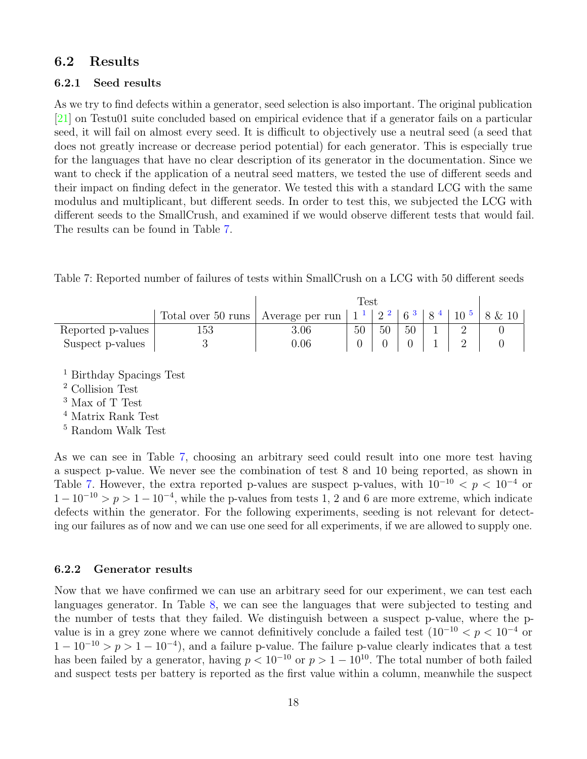### <span id="page-20-0"></span>6.2 Results

#### <span id="page-20-1"></span>6.2.1 Seed results

As we try to find defects within a generator, seed selection is also important. The original publication [\[21\]](#page-31-4) on Testu01 suite concluded based on empirical evidence that if a generator fails on a particular seed, it will fail on almost every seed. It is difficult to objectively use a neutral seed (a seed that does not greatly increase or decrease period potential) for each generator. This is especially true for the languages that have no clear description of its generator in the documentation. Since we want to check if the application of a neutral seed matters, we tested the use of different seeds and their impact on finding defect in the generator. We tested this with a standard LCG with the same modulus and multiplicant, but different seeds. In order to test this, we subjected the LCG with different seeds to the SmallCrush, and examined if we would observe different tests that would fail. The results can be found in Table [7.](#page-20-3)

<span id="page-20-3"></span>

| Table 7: Reported number of failures of tests within SmallCrush on a LCG with 50 different seeds |  |  |  |  |  |  |  |  |  |  |
|--------------------------------------------------------------------------------------------------|--|--|--|--|--|--|--|--|--|--|
|--------------------------------------------------------------------------------------------------|--|--|--|--|--|--|--|--|--|--|

|                   |                    |                 | Fest |    |         |           |                               |        |
|-------------------|--------------------|-----------------|------|----|---------|-----------|-------------------------------|--------|
|                   | Total over 50 runs | Average per run |      |    | $6^{3}$ | $\circ$ 4 | $\pm$ 10 $\overline{5}$ $\pm$ | 8 & 10 |
| Reported p-values | 153                | $3.06\,$        | 50   | 50 | 50      |           |                               |        |
| Suspect p-values  |                    | $0.06\,$        |      |    |         |           |                               |        |

<sup>1</sup> Birthday Spacings Test

<sup>2</sup> Collision Test

<sup>3</sup> Max of T Test

<sup>4</sup> Matrix Rank Test

<sup>5</sup> Random Walk Test

As we can see in Table [7,](#page-20-3) choosing an arbitrary seed could result into one more test having a suspect p-value. We never see the combination of test 8 and 10 being reported, as shown in Table [7.](#page-20-3) However, the extra reported p-values are suspect p-values, with  $10^{-10} < p < 10^{-4}$  or  $1-10^{-10} > p > 1-10^{-4}$ , while the p-values from tests 1, 2 and 6 are more extreme, which indicate defects within the generator. For the following experiments, seeding is not relevant for detecting our failures as of now and we can use one seed for all experiments, if we are allowed to supply one.

### <span id="page-20-2"></span>6.2.2 Generator results

Now that we have confirmed we can use an arbitrary seed for our experiment, we can test each languages generator. In Table [8,](#page-21-0) we can see the languages that were subjected to testing and the number of tests that they failed. We distinguish between a suspect p-value, where the pvalue is in a grey zone where we cannot definitively conclude a failed test  $(10^{-10} < p < 10^{-4}$  or  $1 - 10^{-10} > p > 1 - 10^{-4}$ , and a failure p-value. The failure p-value clearly indicates that a test has been failed by a generator, having  $p < 10^{-10}$  or  $p > 1 - 10^{10}$ . The total number of both failed and suspect tests per battery is reported as the first value within a column, meanwhile the suspect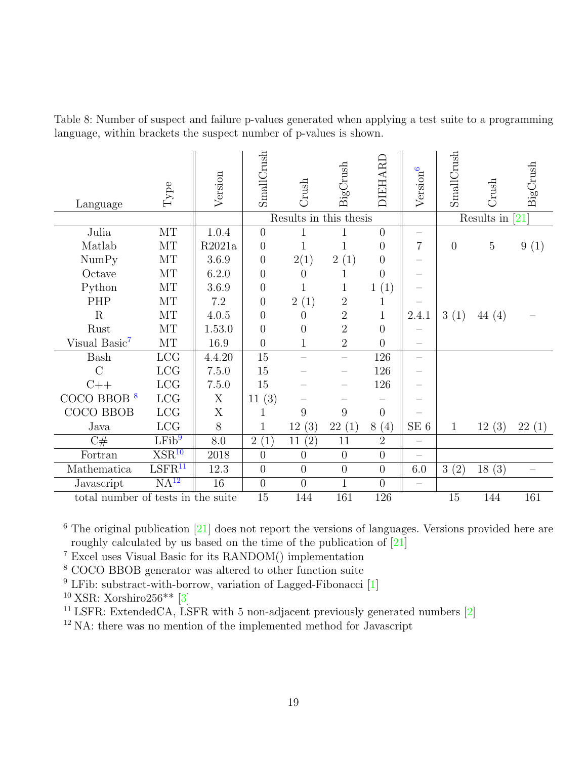<span id="page-21-0"></span>Table 8: Number of suspect and failure p-values generated when applying a test suite to a programming language, within brackets the suspect number of p-values is shown.

| Language                           | Type                         | Version | SmallCrush       | Crush                  | BigCrush         | DIEHARD          | Version <sup>6</sup>     | SmallCrush     | Crush          | BigCrush          |
|------------------------------------|------------------------------|---------|------------------|------------------------|------------------|------------------|--------------------------|----------------|----------------|-------------------|
|                                    |                              |         |                  | Results in this thesis |                  |                  |                          |                | Results in     | $\left[21\right]$ |
| Julia                              | MT                           | 1.0.4   | $\overline{0}$   | 1                      | 1                | $\overline{0}$   |                          |                |                |                   |
| Matlab                             | MT                           | R2021a  | $\theta$         | $\mathbf{1}$           | 1                | $\theta$         | $\overline{7}$           | $\overline{0}$ | $\overline{5}$ | 9(1)              |
| NumPy                              | MT                           | 3.6.9   | $\overline{0}$   | 2(1)                   | 2(1)             | $\overline{0}$   |                          |                |                |                   |
| Octave                             | MT                           | 6.2.0   | $\theta$         | $\theta$               | $\mathbf{1}$     | $\overline{0}$   |                          |                |                |                   |
| Python                             | $\rm{MT}$                    | 3.6.9   | $\overline{0}$   | 1                      | 1                | 1(1)             |                          |                |                |                   |
| PHP                                | MT                           | 7.2     | $\overline{0}$   | 2(1)                   | $\overline{2}$   | $\mathbf 1$      |                          |                |                |                   |
| R                                  | MT                           | 4.0.5   | $\overline{0}$   | $\overline{0}$         | $\overline{2}$   | $\mathbf{1}$     | 2.4.1                    | 3(1)           | 44(4)          |                   |
| Rust                               | $\rm{MT}$                    | 1.53.0  | $\overline{0}$   | $\overline{0}$         | $\overline{2}$   | $\overline{0}$   |                          |                |                |                   |
| Visual Basic <sup>7</sup>          | MT                           | 16.9    | $\overline{0}$   | $\mathbf{1}$           | $\overline{2}$   | $\overline{0}$   |                          |                |                |                   |
| <b>Bash</b>                        | LCG                          | 4.4.20  | 15               |                        | $\equiv$         | 126              |                          |                |                |                   |
| $\overline{C}$                     | LCG                          | 7.5.0   | 15               |                        |                  | 126              |                          |                |                |                   |
| $C++$                              | ${ \mathop{ \textrm{LCG}} }$ | 7.5.0   | 15               |                        |                  | 126              |                          |                |                |                   |
| $COCO$ BBOB $8$                    | LCG                          | X       | 11(3)            |                        |                  |                  |                          |                |                |                   |
| COCO BBOB                          | ${ \mathop{ \textrm{LCG}} }$ | X       | 1                | 9                      | $\boldsymbol{9}$ | $\overline{0}$   |                          |                |                |                   |
| Java                               | ${ \mathop{ \textrm{LCG}} }$ | $8\,$   | $\mathbf 1$      | 12(3)                  | 22(1)            | 8(4)             | $\rm SE~6$               | $\mathbf{1}$   | 12(3)          | 22(1)             |
| C#                                 | LFib <sup>9</sup>            | $8.0\,$ | 2(1)             | (2)<br>11              | $11\,$           | $\overline{2}$   | $\equiv$                 |                |                |                   |
| Fortran                            | $XSR^{10}$                   | 2018    | $\overline{0}$   | $\overline{0}$         | $\overline{0}$   | $\overline{0}$   | $\overline{\phantom{0}}$ |                |                |                   |
| Mathematica                        | LSFR <sup>11</sup>           | 12.3    | $\boldsymbol{0}$ | $\theta$               | $\theta$         | $\boldsymbol{0}$ | $6.0\,$                  | 3(2)           | 18(3)          | $\equiv$          |
| Javascript                         | NA <sup>12</sup>             | 16      | $\overline{0}$   | $\overline{0}$         | $\mathbf{1}$     | $\overline{0}$   |                          |                |                |                   |
| total number of tests in the suite |                              |         | 15               | 144                    | 161              | 126              |                          | 15             | 144            | 161               |

 $6$  The original publication  $[21]$  does not report the versions of languages. Versions provided here are roughly calculated by us based on the time of the publication of [\[21\]](#page-31-4)

<sup>7</sup> Excel uses Visual Basic for its RANDOM() implementation

<sup>8</sup> COCO BBOB generator was altered to other function suite

 $9$  LFib: substract-with-borrow, variation of Lagged-Fibonacci [\[1\]](#page-30-6)

 $10$  XSR: Xorshiro256\*\* [\[3\]](#page-30-13)

<sup>11</sup> LSFR: ExtendedCA, LSFR with 5 non-adjacent previously generated numbers  $[2]$ 

<sup>12</sup> NA: there was no mention of the implemented method for Javascript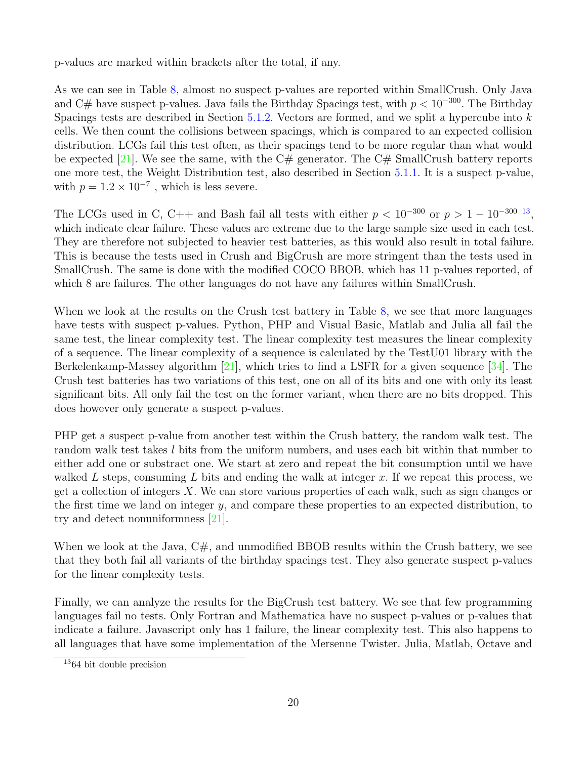p-values are marked within brackets after the total, if any.

As we can see in Table [8,](#page-21-0) almost no suspect p-values are reported within SmallCrush. Only Java and C# have suspect p-values. Java fails the Birthday Spacings test, with  $p < 10^{-300}$ . The Birthday Spacings tests are described in Section  $5.1.2$ . Vectors are formed, and we split a hypercube into  $k$ cells. We then count the collisions between spacings, which is compared to an expected collision distribution. LCGs fail this test often, as their spacings tend to be more regular than what would be expected [\[21\]](#page-31-4). We see the same, with the  $C#$  generator. The  $C#$  SmallCrush battery reports one more test, the Weight Distribution test, also described in Section [5.1.1.](#page-13-1) It is a suspect p-value, with  $p = 1.2 \times 10^{-7}$ , which is less severe.

The LCGs used in C, C++ and Bash fail all tests with either  $p < 10^{-300}$  or  $p > 1 - 10^{-300}$  [13](#page-22-0), which indicate clear failure. These values are extreme due to the large sample size used in each test. They are therefore not subjected to heavier test batteries, as this would also result in total failure. This is because the tests used in Crush and BigCrush are more stringent than the tests used in SmallCrush. The same is done with the modified COCO BBOB, which has 11 p-values reported, of which 8 are failures. The other languages do not have any failures within SmallCrush.

When we look at the results on the Crush test battery in Table [8,](#page-21-0) we see that more languages have tests with suspect p-values. Python, PHP and Visual Basic, Matlab and Julia all fail the same test, the linear complexity test. The linear complexity test measures the linear complexity of a sequence. The linear complexity of a sequence is calculated by the TestU01 library with the Berkelenkamp-Massey algorithm [\[21\]](#page-31-4), which tries to find a LSFR for a given sequence [\[34\]](#page-32-12). The Crush test batteries has two variations of this test, one on all of its bits and one with only its least significant bits. All only fail the test on the former variant, when there are no bits dropped. This does however only generate a suspect p-values.

PHP get a suspect p-value from another test within the Crush battery, the random walk test. The random walk test takes l bits from the uniform numbers, and uses each bit within that number to either add one or substract one. We start at zero and repeat the bit consumption until we have walked L steps, consuming L bits and ending the walk at integer x. If we repeat this process, we get a collection of integers  $X$ . We can store various properties of each walk, such as sign changes or the first time we land on integer  $y$ , and compare these properties to an expected distribution, to try and detect nonuniformness [\[21\]](#page-31-4).

When we look at the Java,  $C\#$ , and unmodified BBOB results within the Crush battery, we see that they both fail all variants of the birthday spacings test. They also generate suspect p-values for the linear complexity tests.

Finally, we can analyze the results for the BigCrush test battery. We see that few programming languages fail no tests. Only Fortran and Mathematica have no suspect p-values or p-values that indicate a failure. Javascript only has 1 failure, the linear complexity test. This also happens to all languages that have some implementation of the Mersenne Twister. Julia, Matlab, Octave and

<span id="page-22-0"></span><sup>13</sup>64 bit double precision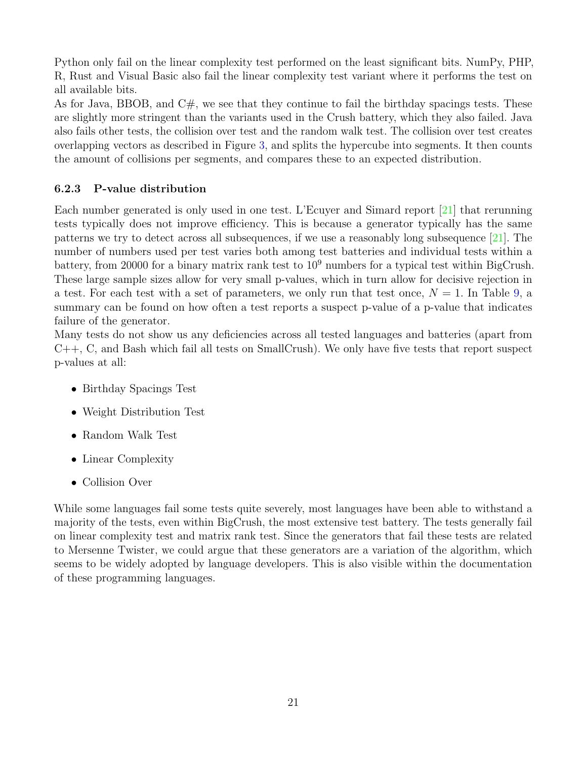Python only fail on the linear complexity test performed on the least significant bits. NumPy, PHP, R, Rust and Visual Basic also fail the linear complexity test variant where it performs the test on all available bits.

As for Java, BBOB, and  $C\#$ , we see that they continue to fail the birthday spacings tests. These are slightly more stringent than the variants used in the Crush battery, which they also failed. Java also fails other tests, the collision over test and the random walk test. The collision over test creates overlapping vectors as described in Figure [3,](#page-15-3) and splits the hypercube into segments. It then counts the amount of collisions per segments, and compares these to an expected distribution.

### <span id="page-23-0"></span>6.2.3 P-value distribution

Each number generated is only used in one test. L'Ecuyer and Simard report [\[21\]](#page-31-4) that rerunning tests typically does not improve efficiency. This is because a generator typically has the same patterns we try to detect across all subsequences, if we use a reasonably long subsequence  $[21]$ . The number of numbers used per test varies both among test batteries and individual tests within a battery, from 20000 for a binary matrix rank test to  $10^9$  numbers for a typical test within BigCrush. These large sample sizes allow for very small p-values, which in turn allow for decisive rejection in a test. For each test with a set of parameters, we only run that test once,  $N = 1$ . In Table [9,](#page-24-0) a summary can be found on how often a test reports a suspect p-value of a p-value that indicates failure of the generator.

Many tests do not show us any deficiencies across all tested languages and batteries (apart from  $C_{++}$ , C, and Bash which fail all tests on SmallCrush). We only have five tests that report suspect p-values at all:

- Birthday Spacings Test
- Weight Distribution Test
- Random Walk Test
- Linear Complexity
- Collision Over

While some languages fail some tests quite severely, most languages have been able to withstand a majority of the tests, even within BigCrush, the most extensive test battery. The tests generally fail on linear complexity test and matrix rank test. Since the generators that fail these tests are related to Mersenne Twister, we could argue that these generators are a variation of the algorithm, which seems to be widely adopted by language developers. This is also visible within the documentation of these programming languages.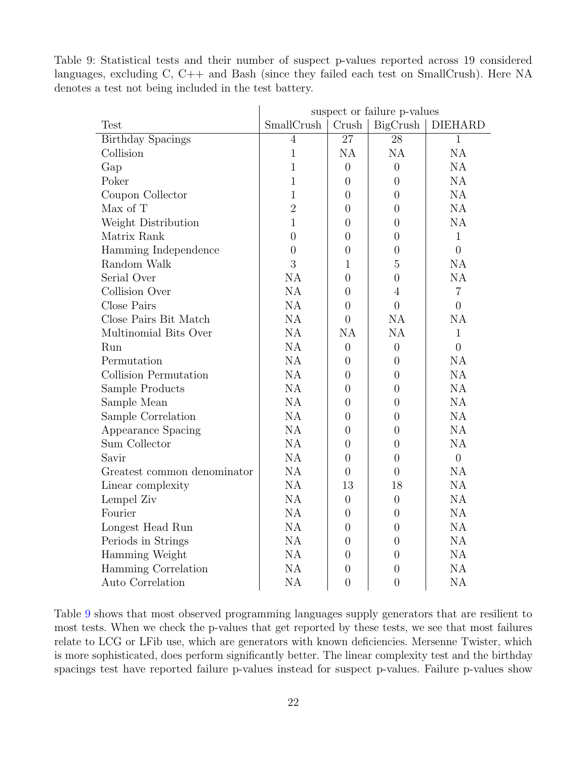<span id="page-24-0"></span>Table 9: Statistical tests and their number of suspect p-values reported across 19 considered languages, excluding C, C++ and Bash (since they failed each test on SmallCrush). Here NA denotes a test not being included in the test battery.

|                             | suspect or failure p-values |                |                  |                |  |  |  |  |
|-----------------------------|-----------------------------|----------------|------------------|----------------|--|--|--|--|
| <b>Test</b>                 | SmallCrush                  | Crush          | BigCrush         | <b>DIEHARD</b> |  |  |  |  |
| <b>Birthday Spacings</b>    | $\overline{4}$              | 27             | $\overline{28}$  | $\mathbf{1}$   |  |  |  |  |
| Collision                   | $\mathbf{1}$                | <b>NA</b>      | <b>NA</b>        | NA             |  |  |  |  |
| Gap                         | $\mathbf{1}$                | $\overline{0}$ | $\overline{0}$   | <b>NA</b>      |  |  |  |  |
| Poker                       | $\mathbf 1$                 | $\overline{0}$ | $\overline{0}$   | <b>NA</b>      |  |  |  |  |
| Coupon Collector            | $\mathbf{1}$                | $\overline{0}$ | $\overline{0}$   | NA             |  |  |  |  |
| Max of T                    | $\overline{2}$              | $\overline{0}$ | $\overline{0}$   | NA             |  |  |  |  |
| Weight Distribution         | $\overline{1}$              | $\overline{0}$ | $\overline{0}$   | NA             |  |  |  |  |
| Matrix Rank                 | $\overline{0}$              | $\overline{0}$ | $\overline{0}$   | $\mathbf{1}$   |  |  |  |  |
| Hamming Independence        | $\overline{0}$              | 0              | $\overline{0}$   | $\overline{0}$ |  |  |  |  |
| Random Walk                 | 3                           | $\mathbf{1}$   | 5                | <b>NA</b>      |  |  |  |  |
| Serial Over                 | NA                          | 0              | $\overline{0}$   | <b>NA</b>      |  |  |  |  |
| Collision Over              | NA                          | 0              | $\overline{4}$   | $\overline{7}$ |  |  |  |  |
| Close Pairs                 | NA                          | $\overline{0}$ | $\overline{0}$   | $\overline{0}$ |  |  |  |  |
| Close Pairs Bit Match       | <b>NA</b>                   | $\overline{0}$ | <b>NA</b>        | <b>NA</b>      |  |  |  |  |
| Multinomial Bits Over       | NA                          | NA             | <b>NA</b>        | $\mathbf{1}$   |  |  |  |  |
| Run                         | NA                          | 0              | $\overline{0}$   | $\overline{0}$ |  |  |  |  |
| Permutation                 | <b>NA</b>                   | $\overline{0}$ | $\overline{0}$   | <b>NA</b>      |  |  |  |  |
| Collision Permutation       | NA                          | 0              | $\overline{0}$   | NA             |  |  |  |  |
| Sample Products             | NA                          | $\overline{0}$ | $\overline{0}$   | NA             |  |  |  |  |
| Sample Mean                 | NA                          | $\overline{0}$ | $\overline{0}$   | NA             |  |  |  |  |
| Sample Correlation          | NA                          | $\overline{0}$ | $\boldsymbol{0}$ | NA             |  |  |  |  |
| Appearance Spacing          | NA                          | 0              | $\overline{0}$   | NA             |  |  |  |  |
| Sum Collector               | NA                          | $\theta$       | $\theta$         | <b>NA</b>      |  |  |  |  |
| Savir                       | <b>NA</b>                   | 0              | $\theta$         | $\overline{0}$ |  |  |  |  |
| Greatest common denominator | NA                          | $\overline{0}$ | $\overline{0}$   | <b>NA</b>      |  |  |  |  |
| Linear complexity           | NA                          | 13             | 18               | NA             |  |  |  |  |
| Lempel Ziv                  | <b>NA</b>                   | $\theta$       | $\overline{0}$   | NA             |  |  |  |  |
| Fourier                     | NA                          | $\overline{0}$ | $\boldsymbol{0}$ | NA             |  |  |  |  |
| Longest Head Run            | NA                          | 0              | $\overline{0}$   | NA             |  |  |  |  |
| Periods in Strings          | NA                          | 0              | $\theta$         | <b>NA</b>      |  |  |  |  |
| Hamming Weight              | NA                          | 0              | $\theta$         | <b>NA</b>      |  |  |  |  |
| Hamming Correlation         | NA                          | $\overline{0}$ | $\overline{0}$   | NA             |  |  |  |  |
| Auto Correlation            | NA                          | $\overline{0}$ | $\overline{0}$   | NA             |  |  |  |  |

Table [9](#page-24-0) shows that most observed programming languages supply generators that are resilient to most tests. When we check the p-values that get reported by these tests, we see that most failures relate to LCG or LFib use, which are generators with known deficiencies. Mersenne Twister, which is more sophisticated, does perform significantly better. The linear complexity test and the birthday spacings test have reported failure p-values instead for suspect p-values. Failure p-values show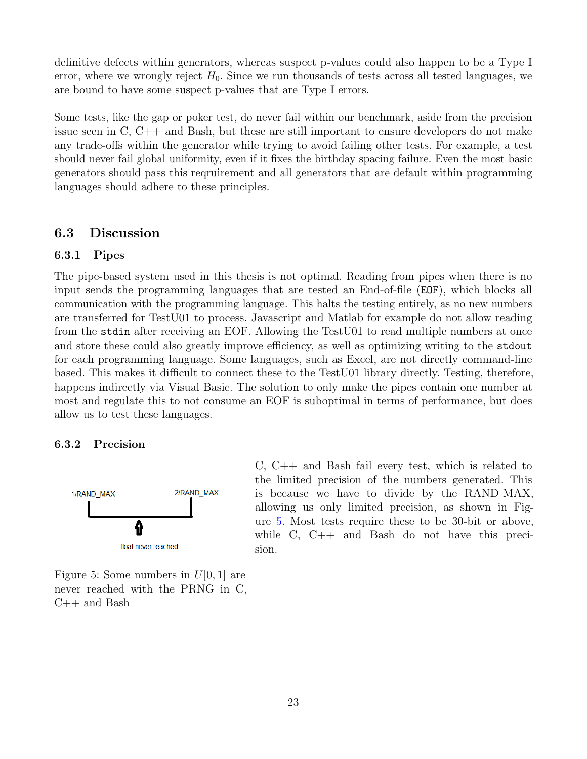definitive defects within generators, whereas suspect p-values could also happen to be a Type I error, where we wrongly reject  $H_0$ . Since we run thousands of tests across all tested languages, we are bound to have some suspect p-values that are Type I errors.

Some tests, like the gap or poker test, do never fail within our benchmark, aside from the precision issue seen in C, C++ and Bash, but these are still important to ensure developers do not make any trade-offs within the generator while trying to avoid failing other tests. For example, a test should never fail global uniformity, even if it fixes the birthday spacing failure. Even the most basic generators should pass this reqruirement and all generators that are default within programming languages should adhere to these principles.

### <span id="page-25-0"></span>6.3 Discussion

#### <span id="page-25-1"></span>6.3.1 Pipes

The pipe-based system used in this thesis is not optimal. Reading from pipes when there is no input sends the programming languages that are tested an End-of-file (EOF), which blocks all communication with the programming language. This halts the testing entirely, as no new numbers are transferred for TestU01 to process. Javascript and Matlab for example do not allow reading from the stdin after receiving an EOF. Allowing the TestU01 to read multiple numbers at once and store these could also greatly improve efficiency, as well as optimizing writing to the stdout for each programming language. Some languages, such as Excel, are not directly command-line based. This makes it difficult to connect these to the TestU01 library directly. Testing, therefore, happens indirectly via Visual Basic. The solution to only make the pipes contain one number at most and regulate this to not consume an EOF is suboptimal in terms of performance, but does allow us to test these languages.

#### <span id="page-25-2"></span>6.3.2 Precision

<span id="page-25-3"></span>

Figure 5: Some numbers in  $U[0, 1]$  are never reached with the PRNG in C, C++ and Bash

C, C++ and Bash fail every test, which is related to the limited precision of the numbers generated. This is because we have to divide by the RAND MAX, allowing us only limited precision, as shown in Figure [5.](#page-25-3) Most tests require these to be 30-bit or above, while C, C++ and Bash do not have this precision.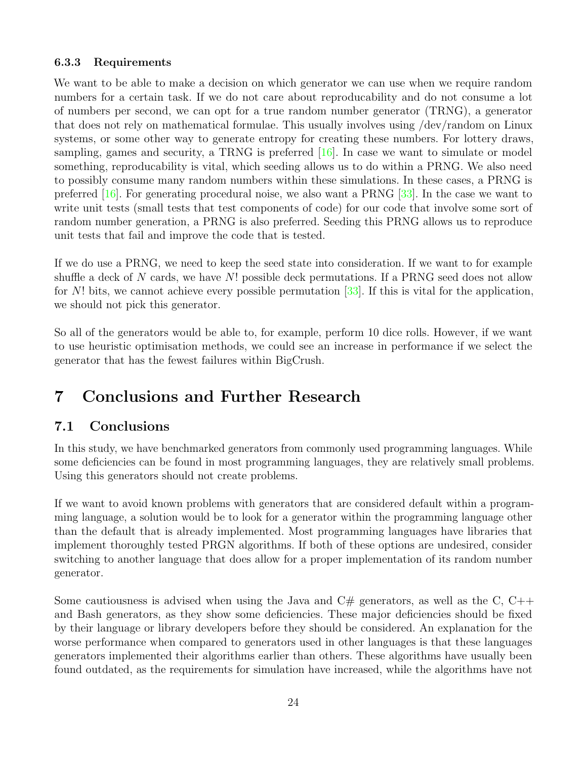### <span id="page-26-0"></span>6.3.3 Requirements

We want to be able to make a decision on which generator we can use when we require random numbers for a certain task. If we do not care about reproducability and do not consume a lot of numbers per second, we can opt for a true random number generator (TRNG), a generator that does not rely on mathematical formulae. This usually involves using /dev/random on Linux systems, or some other way to generate entropy for creating these numbers. For lottery draws, sampling, games and security, a TRNG is preferred [\[16\]](#page-31-13). In case we want to simulate or model something, reproducability is vital, which seeding allows us to do within a PRNG. We also need to possibly consume many random numbers within these simulations. In these cases, a PRNG is preferred [\[16\]](#page-31-13). For generating procedural noise, we also want a PRNG [\[33\]](#page-32-13). In the case we want to write unit tests (small tests that test components of code) for our code that involve some sort of random number generation, a PRNG is also preferred. Seeding this PRNG allows us to reproduce unit tests that fail and improve the code that is tested.

If we do use a PRNG, we need to keep the seed state into consideration. If we want to for example shuffle a deck of N cards, we have  $N!$  possible deck permutations. If a PRNG seed does not allow for N! bits, we cannot achieve every possible permutation  $[33]$ . If this is vital for the application, we should not pick this generator.

So all of the generators would be able to, for example, perform 10 dice rolls. However, if we want to use heuristic optimisation methods, we could see an increase in performance if we select the generator that has the fewest failures within BigCrush.

# <span id="page-26-1"></span>7 Conclusions and Further Research

# <span id="page-26-2"></span>7.1 Conclusions

In this study, we have benchmarked generators from commonly used programming languages. While some deficiencies can be found in most programming languages, they are relatively small problems. Using this generators should not create problems.

If we want to avoid known problems with generators that are considered default within a programming language, a solution would be to look for a generator within the programming language other than the default that is already implemented. Most programming languages have libraries that implement thoroughly tested PRGN algorithms. If both of these options are undesired, consider switching to another language that does allow for a proper implementation of its random number generator.

Some cautiousness is advised when using the Java and  $C#$  generators, as well as the C,  $C++$ and Bash generators, as they show some deficiencies. These major deficiencies should be fixed by their language or library developers before they should be considered. An explanation for the worse performance when compared to generators used in other languages is that these languages generators implemented their algorithms earlier than others. These algorithms have usually been found outdated, as the requirements for simulation have increased, while the algorithms have not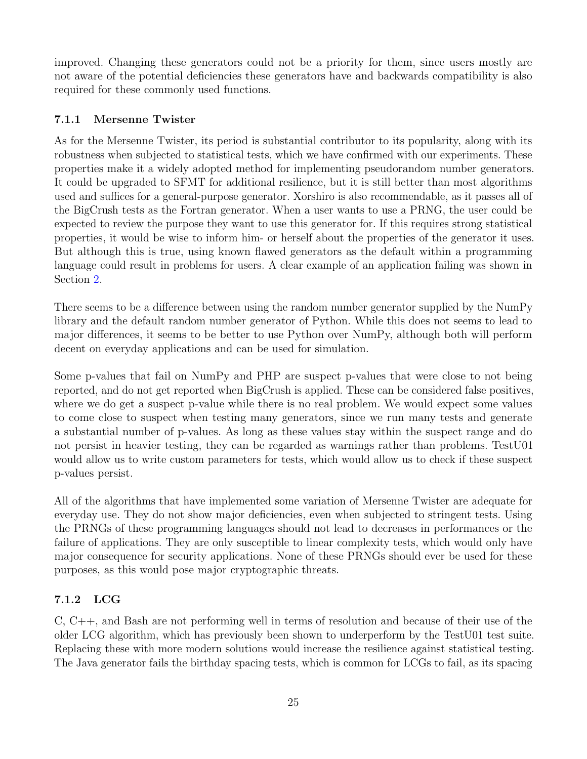improved. Changing these generators could not be a priority for them, since users mostly are not aware of the potential deficiencies these generators have and backwards compatibility is also required for these commonly used functions.

### <span id="page-27-0"></span>7.1.1 Mersenne Twister

As for the Mersenne Twister, its period is substantial contributor to its popularity, along with its robustness when subjected to statistical tests, which we have confirmed with our experiments. These properties make it a widely adopted method for implementing pseudorandom number generators. It could be upgraded to SFMT for additional resilience, but it is still better than most algorithms used and suffices for a general-purpose generator. Xorshiro is also recommendable, as it passes all of the BigCrush tests as the Fortran generator. When a user wants to use a PRNG, the user could be expected to review the purpose they want to use this generator for. If this requires strong statistical properties, it would be wise to inform him- or herself about the properties of the generator it uses. But although this is true, using known flawed generators as the default within a programming language could result in problems for users. A clear example of an application failing was shown in Section [2.](#page-4-0)

There seems to be a difference between using the random number generator supplied by the NumPy library and the default random number generator of Python. While this does not seems to lead to major differences, it seems to be better to use Python over NumPy, although both will perform decent on everyday applications and can be used for simulation.

Some p-values that fail on NumPy and PHP are suspect p-values that were close to not being reported, and do not get reported when BigCrush is applied. These can be considered false positives, where we do get a suspect p-value while there is no real problem. We would expect some values to come close to suspect when testing many generators, since we run many tests and generate a substantial number of p-values. As long as these values stay within the suspect range and do not persist in heavier testing, they can be regarded as warnings rather than problems. TestU01 would allow us to write custom parameters for tests, which would allow us to check if these suspect p-values persist.

All of the algorithms that have implemented some variation of Mersenne Twister are adequate for everyday use. They do not show major deficiencies, even when subjected to stringent tests. Using the PRNGs of these programming languages should not lead to decreases in performances or the failure of applications. They are only susceptible to linear complexity tests, which would only have major consequence for security applications. None of these PRNGs should ever be used for these purposes, as this would pose major cryptographic threats.

### <span id="page-27-1"></span>7.1.2 LCG

C, C++, and Bash are not performing well in terms of resolution and because of their use of the older LCG algorithm, which has previously been shown to underperform by the TestU01 test suite. Replacing these with more modern solutions would increase the resilience against statistical testing. The Java generator fails the birthday spacing tests, which is common for LCGs to fail, as its spacing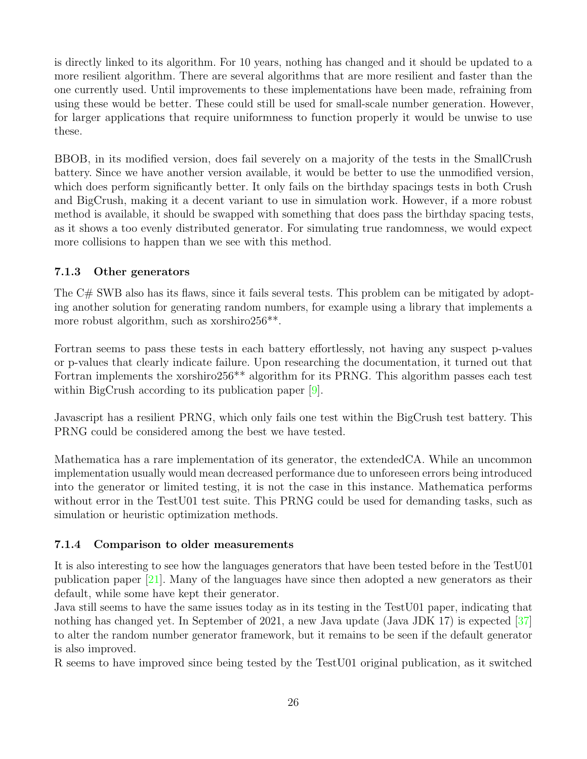is directly linked to its algorithm. For 10 years, nothing has changed and it should be updated to a more resilient algorithm. There are several algorithms that are more resilient and faster than the one currently used. Until improvements to these implementations have been made, refraining from using these would be better. These could still be used for small-scale number generation. However, for larger applications that require uniformness to function properly it would be unwise to use these.

BBOB, in its modified version, does fail severely on a majority of the tests in the SmallCrush battery. Since we have another version available, it would be better to use the unmodified version, which does perform significantly better. It only fails on the birthday spacings tests in both Crush and BigCrush, making it a decent variant to use in simulation work. However, if a more robust method is available, it should be swapped with something that does pass the birthday spacing tests, as it shows a too evenly distributed generator. For simulating true randomness, we would expect more collisions to happen than we see with this method.

### <span id="page-28-0"></span>7.1.3 Other generators

The C# SWB also has its flaws, since it fails several tests. This problem can be mitigated by adopting another solution for generating random numbers, for example using a library that implements a more robust algorithm, such as xorshiro256<sup>\*\*</sup>.

Fortran seems to pass these tests in each battery effortlessly, not having any suspect p-values or p-values that clearly indicate failure. Upon researching the documentation, it turned out that Fortran implements the xorshiro256<sup>\*\*</sup> algorithm for its PRNG. This algorithm passes each test within BigCrush according to its publication paper [\[9\]](#page-30-4).

Javascript has a resilient PRNG, which only fails one test within the BigCrush test battery. This PRNG could be considered among the best we have tested.

Mathematica has a rare implementation of its generator, the extendedCA. While an uncommon implementation usually would mean decreased performance due to unforeseen errors being introduced into the generator or limited testing, it is not the case in this instance. Mathematica performs without error in the TestU01 test suite. This PRNG could be used for demanding tasks, such as simulation or heuristic optimization methods.

### <span id="page-28-1"></span>7.1.4 Comparison to older measurements

It is also interesting to see how the languages generators that have been tested before in the TestU01 publication paper [\[21\]](#page-31-4). Many of the languages have since then adopted a new generators as their default, while some have kept their generator.

Java still seems to have the same issues today as in its testing in the TestU01 paper, indicating that nothing has changed yet. In September of 2021, a new Java update (Java JDK 17) is expected [\[37\]](#page-32-14) to alter the random number generator framework, but it remains to be seen if the default generator is also improved.

R seems to have improved since being tested by the TestU01 original publication, as it switched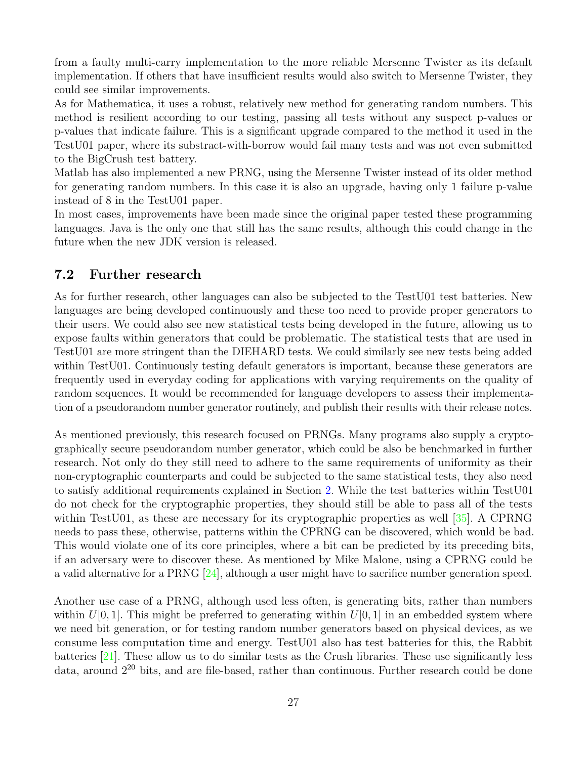from a faulty multi-carry implementation to the more reliable Mersenne Twister as its default implementation. If others that have insufficient results would also switch to Mersenne Twister, they could see similar improvements.

As for Mathematica, it uses a robust, relatively new method for generating random numbers. This method is resilient according to our testing, passing all tests without any suspect p-values or p-values that indicate failure. This is a significant upgrade compared to the method it used in the TestU01 paper, where its substract-with-borrow would fail many tests and was not even submitted to the BigCrush test battery.

Matlab has also implemented a new PRNG, using the Mersenne Twister instead of its older method for generating random numbers. In this case it is also an upgrade, having only 1 failure p-value instead of 8 in the TestU01 paper.

In most cases, improvements have been made since the original paper tested these programming languages. Java is the only one that still has the same results, although this could change in the future when the new JDK version is released.

### <span id="page-29-0"></span>7.2 Further research

As for further research, other languages can also be subjected to the TestU01 test batteries. New languages are being developed continuously and these too need to provide proper generators to their users. We could also see new statistical tests being developed in the future, allowing us to expose faults within generators that could be problematic. The statistical tests that are used in TestU01 are more stringent than the DIEHARD tests. We could similarly see new tests being added within TestU01. Continuously testing default generators is important, because these generators are frequently used in everyday coding for applications with varying requirements on the quality of random sequences. It would be recommended for language developers to assess their implementation of a pseudorandom number generator routinely, and publish their results with their release notes.

As mentioned previously, this research focused on PRNGs. Many programs also supply a cryptographically secure pseudorandom number generator, which could be also be benchmarked in further research. Not only do they still need to adhere to the same requirements of uniformity as their non-cryptographic counterparts and could be subjected to the same statistical tests, they also need to satisfy additional requirements explained in Section [2.](#page-4-0) While the test batteries within TestU01 do not check for the cryptographic properties, they should still be able to pass all of the tests within TestU01, as these are necessary for its cryptographic properties as well [\[35\]](#page-32-1). A CPRNG needs to pass these, otherwise, patterns within the CPRNG can be discovered, which would be bad. This would violate one of its core principles, where a bit can be predicted by its preceding bits, if an adversary were to discover these. As mentioned by Mike Malone, using a CPRNG could be a valid alternative for a PRNG [\[24\]](#page-31-2), although a user might have to sacrifice number generation speed.

Another use case of a PRNG, although used less often, is generating bits, rather than numbers within  $U[0, 1]$ . This might be preferred to generating within  $U[0, 1]$  in an embedded system where we need bit generation, or for testing random number generators based on physical devices, as we consume less computation time and energy. TestU01 also has test batteries for this, the Rabbit batteries [\[21\]](#page-31-4). These allow us to do similar tests as the Crush libraries. These use significantly less data, around  $2^{20}$  bits, and are file-based, rather than continuous. Further research could be done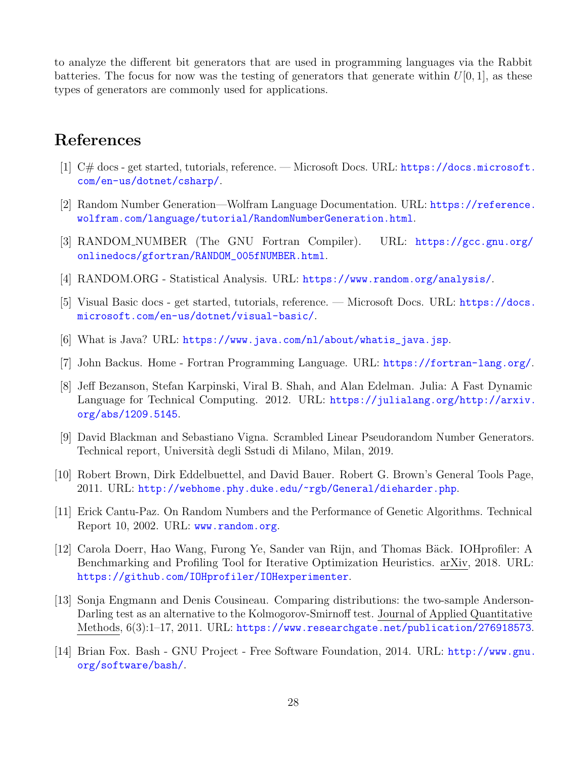to analyze the different bit generators that are used in programming languages via the Rabbit batteries. The focus for now was the testing of generators that generate within  $U[0, 1]$ , as these types of generators are commonly used for applications.

# <span id="page-30-0"></span>References

- <span id="page-30-6"></span>[1]  $C#$  docs - get started, tutorials, reference. — Microsoft Docs. URL: [https://docs.microsoft.](https://docs.microsoft.com/en-us/dotnet/csharp/) [com/en-us/dotnet/csharp/](https://docs.microsoft.com/en-us/dotnet/csharp/).
- <span id="page-30-14"></span>[2] Random Number Generation—Wolfram Language Documentation. URL: [https://reference.](https://reference.wolfram.com/language/tutorial/RandomNumberGeneration.html) [wolfram.com/language/tutorial/RandomNumberGeneration.html](https://reference.wolfram.com/language/tutorial/RandomNumberGeneration.html).
- <span id="page-30-13"></span>[3] RANDOM NUMBER (The GNU Fortran Compiler). URL: [https://gcc.gnu.org/](https://gcc.gnu.org/onlinedocs/gfortran/RANDOM_005fNUMBER.html) [onlinedocs/gfortran/RANDOM\\_005fNUMBER.html](https://gcc.gnu.org/onlinedocs/gfortran/RANDOM_005fNUMBER.html).
- <span id="page-30-1"></span>[4] RANDOM.ORG - Statistical Analysis. URL: <https://www.random.org/analysis/>.
- <span id="page-30-12"></span>[5] Visual Basic docs - get started, tutorials, reference. — Microsoft Docs. URL: [https://docs.](https://docs.microsoft.com/en-us/dotnet/visual-basic/) [microsoft.com/en-us/dotnet/visual-basic/](https://docs.microsoft.com/en-us/dotnet/visual-basic/).
- <span id="page-30-8"></span>[6] What is Java? URL: [https://www.java.com/nl/about/whatis\\_java.jsp](https://www.java.com/nl/about/whatis_java.jsp).
- <span id="page-30-7"></span>[7] John Backus. Home - Fortran Programming Language. URL: <https://fortran-lang.org/>.
- <span id="page-30-11"></span>[8] Jeff Bezanson, Stefan Karpinski, Viral B. Shah, and Alan Edelman. Julia: A Fast Dynamic Language for Technical Computing. 2012. URL: [https://julialang.org/http://arxiv.](https://julialang.org/ http://arxiv.org/abs/1209.5145) [org/abs/1209.5145](https://julialang.org/ http://arxiv.org/abs/1209.5145).
- <span id="page-30-4"></span>[9] David Blackman and Sebastiano Vigna. Scrambled Linear Pseudorandom Number Generators. Technical report, Universit`a degli Sstudi di Milano, Milan, 2019.
- <span id="page-30-3"></span>[10] Robert Brown, Dirk Eddelbuettel, and David Bauer. Robert G. Brown's General Tools Page, 2011. URL: <http://webhome.phy.duke.edu/~rgb/General/dieharder.php>.
- <span id="page-30-2"></span>[11] Erick Cantu-Paz. On Random Numbers and the Performance of Genetic Algorithms. Technical Report 10, 2002. URL: <www.random.org>.
- <span id="page-30-10"></span>[12] Carola Doerr, Hao Wang, Furong Ye, Sander van Rijn, and Thomas Bäck. IOHprofiler: A Benchmarking and Profiling Tool for Iterative Optimization Heuristics. arXiv, 2018. URL: <https://github.com/IOHprofiler/IOHexperimenter>.
- <span id="page-30-5"></span>[13] Sonja Engmann and Denis Cousineau. Comparing distributions: the two-sample Anderson-Darling test as an alternative to the Kolmogorov-Smirnoff test. Journal of Applied Quantitative Methods, 6(3):1–17, 2011. URL: <https://www.researchgate.net/publication/276918573>.
- <span id="page-30-9"></span>[14] Brian Fox. Bash - GNU Project - Free Software Foundation, 2014. URL: [http://www.gnu.](http://www.gnu.org/software/bash/) [org/software/bash/](http://www.gnu.org/software/bash/).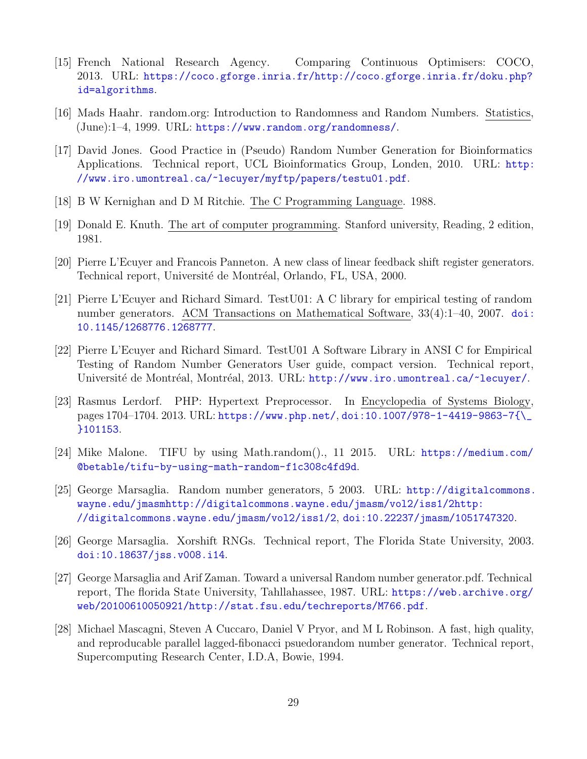- <span id="page-31-12"></span>[15] French National Research Agency. Comparing Continuous Optimisers: COCO, 2013. URL: [https://coco.gforge.inria.fr/http://coco.gforge.inria.fr/doku.php?](https://coco.gforge.inria.fr/ http://coco.gforge.inria.fr/doku.php?id=algorithms) [id=algorithms](https://coco.gforge.inria.fr/ http://coco.gforge.inria.fr/doku.php?id=algorithms).
- <span id="page-31-13"></span>[16] Mads Haahr. random.org: Introduction to Randomness and Random Numbers. Statistics, (June):1–4, 1999. URL: <https://www.random.org/randomness/>.
- <span id="page-31-5"></span>[17] David Jones. Good Practice in (Pseudo) Random Number Generation for Bioinformatics Applications. Technical report, UCL Bioinformatics Group, Londen, 2010. URL: [http:](http://www.iro.umontreal.ca/~lecuyer/myftp/papers/testu01.pdf) [//www.iro.umontreal.ca/~lecuyer/myftp/papers/testu01.pdf](http://www.iro.umontreal.ca/~lecuyer/myftp/papers/testu01.pdf).
- <span id="page-31-10"></span>[18] B W Kernighan and D M Ritchie. The C Programming Language. 1988.
- <span id="page-31-1"></span>[19] Donald E. Knuth. The art of computer programming. Stanford university, Reading, 2 edition, 1981.
- <span id="page-31-7"></span>[20] Pierre L'Ecuyer and Francois Panneton. A new class of linear feedback shift register generators. Technical report, Université de Montréal, Orlando, FL, USA, 2000.
- <span id="page-31-4"></span>[21] Pierre L'Ecuyer and Richard Simard. TestU01: A C library for empirical testing of random number generators. ACM Transactions on Mathematical Software, 33(4):1–40, 2007. [doi:](https://doi.org/10.1145/1268776.1268777) [10.1145/1268776.1268777](https://doi.org/10.1145/1268776.1268777).
- <span id="page-31-9"></span>[22] Pierre L'Ecuyer and Richard Simard. TestU01 A Software Library in ANSI C for Empirical Testing of Random Number Generators User guide, compact version. Technical report, Université de Montréal, Montréal, 2013. URL: <http://www.iro.umontreal.ca/~lecuyer/>.
- <span id="page-31-11"></span>[23] Rasmus Lerdorf. PHP: Hypertext Preprocessor. In Encyclopedia of Systems Biology, pages 1704–1704. 2013. URL: <https://www.php.net/>, [doi:10.1007/978-1-4419-9863-7{\\\_](https://doi.org/10.1007/978-1-4419-9863-7{_}101153) [}101153](https://doi.org/10.1007/978-1-4419-9863-7{_}101153).
- <span id="page-31-2"></span>[24] Mike Malone. TIFU by using Math.random()., 11 2015. URL: [https://medium.com/](https://medium.com/@betable/tifu-by-using-math-random-f1c308c4fd9d) [@betable/tifu-by-using-math-random-f1c308c4fd9d](https://medium.com/@betable/tifu-by-using-math-random-f1c308c4fd9d).
- <span id="page-31-3"></span>[25] George Marsaglia. Random number generators, 5 2003. URL: [http://digitalcommons.](http://digitalcommons.wayne.edu/jmasmhttp://digitalcommons.wayne.edu/jmasm/vol2/iss1/2 http://digitalcommons.wayne.edu/jmasm/vol2/iss1/2) [wayne.edu/jmasmhttp://digitalcommons.wayne.edu/jmasm/vol2/iss1/2http:](http://digitalcommons.wayne.edu/jmasmhttp://digitalcommons.wayne.edu/jmasm/vol2/iss1/2 http://digitalcommons.wayne.edu/jmasm/vol2/iss1/2) [//digitalcommons.wayne.edu/jmasm/vol2/iss1/2](http://digitalcommons.wayne.edu/jmasmhttp://digitalcommons.wayne.edu/jmasm/vol2/iss1/2 http://digitalcommons.wayne.edu/jmasm/vol2/iss1/2), [doi:10.22237/jmasm/1051747320](https://doi.org/10.22237/jmasm/1051747320).
- <span id="page-31-8"></span>[26] George Marsaglia. Xorshift RNGs. Technical report, The Florida State University, 2003. [doi:10.18637/jss.v008.i14](https://doi.org/10.18637/jss.v008.i14).
- <span id="page-31-0"></span>[27] George Marsaglia and Arif Zaman. Toward a universal Random number generator.pdf. Technical report, The florida State University, Tahllahassee, 1987. URL: [https://web.archive.org/](https://web.archive.org/web/20100610050921/http://stat.fsu.edu/techreports/M766.pdf) [web/20100610050921/http://stat.fsu.edu/techreports/M766.pdf](https://web.archive.org/web/20100610050921/http://stat.fsu.edu/techreports/M766.pdf).
- <span id="page-31-6"></span>[28] Michael Mascagni, Steven A Cuccaro, Daniel V Pryor, and M L Robinson. A fast, high quality, and reproducable parallel lagged-fibonacci psuedorandom number generator. Technical report, Supercomputing Research Center, I.D.A, Bowie, 1994.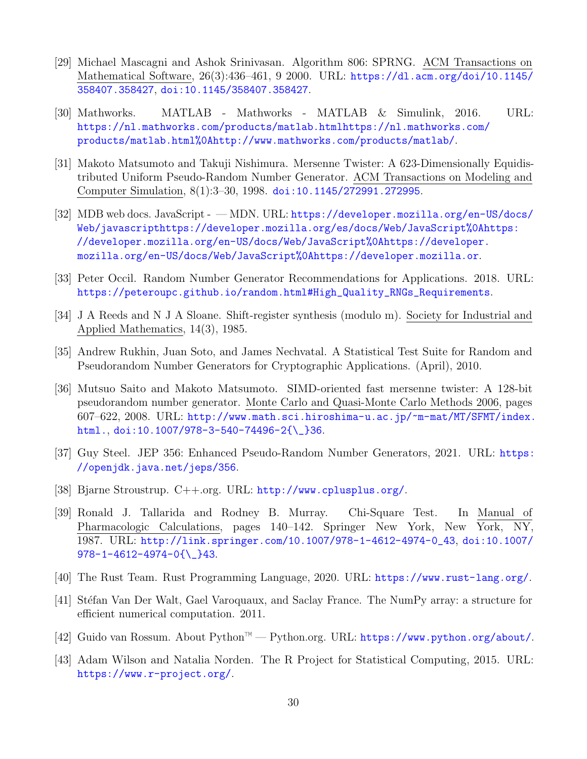- <span id="page-32-0"></span>[29] Michael Mascagni and Ashok Srinivasan. Algorithm 806: SPRNG. ACM Transactions on Mathematical Software, 26(3):436–461, 9 2000. URL: [https://dl.acm.org/doi/10.1145/](https://dl.acm.org/doi/10.1145/358407.358427) [358407.358427](https://dl.acm.org/doi/10.1145/358407.358427), [doi:10.1145/358407.358427](https://doi.org/10.1145/358407.358427).
- <span id="page-32-10"></span>[30] Mathworks. MATLAB - Mathworks - MATLAB & Simulink, 2016. URL: [https://nl.mathworks.com/products/matlab.htmlhttps://nl.mathworks.com/](https://nl.mathworks.com/products/matlab.html https://nl.mathworks.com/products/matlab.html%0Ahttp://www.mathworks.com/products/matlab/) [products/matlab.html%0Ahttp://www.mathworks.com/products/matlab/](https://nl.mathworks.com/products/matlab.html https://nl.mathworks.com/products/matlab.html%0Ahttp://www.mathworks.com/products/matlab/).
- <span id="page-32-2"></span>[31] Makoto Matsumoto and Takuji Nishimura. Mersenne Twister: A 623-Dimensionally Equidistributed Uniform Pseudo-Random Number Generator. ACM Transactions on Modeling and Computer Simulation, 8(1):3–30, 1998. [doi:10.1145/272991.272995](https://doi.org/10.1145/272991.272995).
- <span id="page-32-11"></span>[32] MDB web docs. JavaScript - — MDN. URL: [https://developer.mozilla.org/en-US/docs/](https://developer.mozilla.org/en-US/docs/Web/javascript https://developer.mozilla.org/es/docs/Web/JavaScript%0Ahttps://developer.mozilla.org/en-US/docs/Web/JavaScript%0Ahttps://developer.mozilla.org/en-US/docs/Web/JavaScript%0Ahttps://developer.mozilla.or) [Web/javascripthttps://developer.mozilla.org/es/docs/Web/JavaScript%0Ahttps:](https://developer.mozilla.org/en-US/docs/Web/javascript https://developer.mozilla.org/es/docs/Web/JavaScript%0Ahttps://developer.mozilla.org/en-US/docs/Web/JavaScript%0Ahttps://developer.mozilla.org/en-US/docs/Web/JavaScript%0Ahttps://developer.mozilla.or) [//developer.mozilla.org/en-US/docs/Web/JavaScript%0Ahttps://developer.](https://developer.mozilla.org/en-US/docs/Web/javascript https://developer.mozilla.org/es/docs/Web/JavaScript%0Ahttps://developer.mozilla.org/en-US/docs/Web/JavaScript%0Ahttps://developer.mozilla.org/en-US/docs/Web/JavaScript%0Ahttps://developer.mozilla.or) [mozilla.org/en-US/docs/Web/JavaScript%0Ahttps://developer.mozilla.or](https://developer.mozilla.org/en-US/docs/Web/javascript https://developer.mozilla.org/es/docs/Web/JavaScript%0Ahttps://developer.mozilla.org/en-US/docs/Web/JavaScript%0Ahttps://developer.mozilla.org/en-US/docs/Web/JavaScript%0Ahttps://developer.mozilla.or).
- <span id="page-32-13"></span>[33] Peter Occil. Random Number Generator Recommendations for Applications. 2018. URL: [https://peteroupc.github.io/random.html#High\\_Quality\\_RNGs\\_Requirements](https://peteroupc.github.io/random.html#High_Quality_RNGs_Requirements).
- <span id="page-32-12"></span>[34] J A Reeds and N J A Sloane. Shift-register synthesis (modulo m). Society for Industrial and Applied Mathematics, 14(3), 1985.
- <span id="page-32-1"></span>[35] Andrew Rukhin, Juan Soto, and James Nechvatal. A Statistical Test Suite for Random and Pseudorandom Number Generators for Cryptographic Applications. (April), 2010.
- <span id="page-32-3"></span>[36] Mutsuo Saito and Makoto Matsumoto. SIMD-oriented fast mersenne twister: A 128-bit pseudorandom number generator. Monte Carlo and Quasi-Monte Carlo Methods 2006, pages 607–622, 2008. URL: [http://www.math.sci.hiroshima-u.ac.jp/~m-mat/MT/SFMT/index.](http://www.math.sci.hiroshima-u.ac.jp/~m-mat/MT/SFMT/index.html.) [html.](http://www.math.sci.hiroshima-u.ac.jp/~m-mat/MT/SFMT/index.html.), [doi:10.1007/978-3-540-74496-2{\\\_}36](https://doi.org/10.1007/978-3-540-74496-2{_}36).
- <span id="page-32-14"></span>[37] Guy Steel. JEP 356: Enhanced Pseudo-Random Number Generators, 2021. URL: [https:](https://openjdk.java.net/jeps/356) [//openjdk.java.net/jeps/356](https://openjdk.java.net/jeps/356).
- <span id="page-32-5"></span>[38] Bjarne Stroustrup. C++.org. URL: <http://www.cplusplus.org/>.
- <span id="page-32-4"></span>[39] Ronald J. Tallarida and Rodney B. Murray. Chi-Square Test. In Manual of Pharmacologic Calculations, pages 140–142. Springer New York, New York, NY, 1987. URL: [http://link.springer.com/10.1007/978-1-4612-4974-0\\_43](http://link.springer.com/10.1007/978-1-4612-4974-0_43), [doi:10.1007/](https://doi.org/10.1007/978-1-4612-4974-0{_}43) [978-1-4612-4974-0{\\\_}43](https://doi.org/10.1007/978-1-4612-4974-0{_}43).
- <span id="page-32-9"></span>[40] The Rust Team. Rust Programming Language, 2020. URL: <https://www.rust-lang.org/>.
- <span id="page-32-7"></span>[41] Stéfan Van Der Walt, Gael Varoquaux, and Saclay France. The NumPy array: a structure for efficient numerical computation. 2011.
- <span id="page-32-6"></span>[42] Guido van Rossum. About Python™ — Python.org. URL: <https://www.python.org/about/>.
- <span id="page-32-8"></span>[43] Adam Wilson and Natalia Norden. The R Project for Statistical Computing, 2015. URL: <https://www.r-project.org/>.